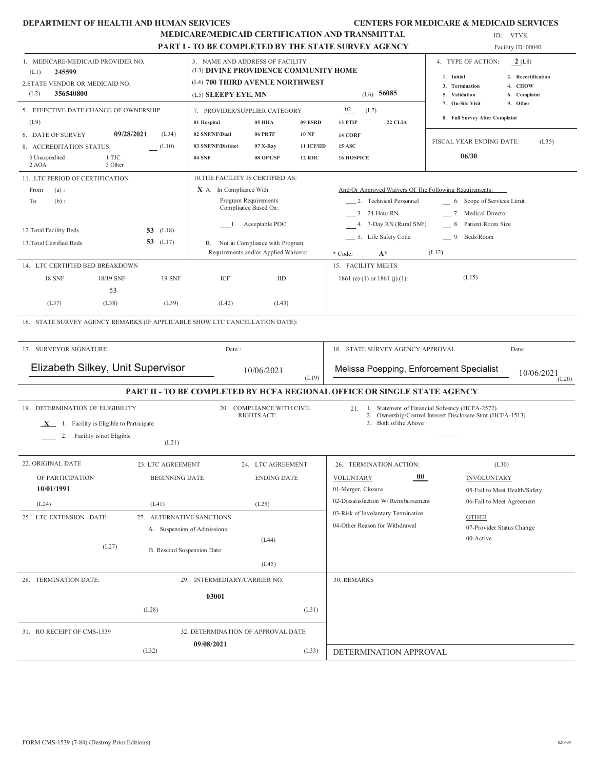#### **DEPARTMENT OF HEALTH AND HUMAN SERVICES CENTERS FOR MEDICARE & MEDICAID SERVICES**

|                                                                                                                                                                                                                                                                                                 | <b>MEDICARE/MEDICAID CERTIFICATION AND TRANSMITTAL</b><br>PART I - TO BE COMPLETED BY THE STATE SURVEY AGENCY |                                                                                                                                    |                                                                                                                                                                |                                             |                                                                                                                                                                                                                                    | ID: VTVK<br>Facility ID: 00040                                                                                                                                |  |  |
|-------------------------------------------------------------------------------------------------------------------------------------------------------------------------------------------------------------------------------------------------------------------------------------------------|---------------------------------------------------------------------------------------------------------------|------------------------------------------------------------------------------------------------------------------------------------|----------------------------------------------------------------------------------------------------------------------------------------------------------------|---------------------------------------------|------------------------------------------------------------------------------------------------------------------------------------------------------------------------------------------------------------------------------------|---------------------------------------------------------------------------------------------------------------------------------------------------------------|--|--|
| 1. MEDICARE/MEDICAID PROVIDER NO.<br>245599<br>(L1)<br>2. STATE VENDOR OR MEDICAID NO.<br>356540800<br>(L2)                                                                                                                                                                                     |                                                                                                               | 3. NAME AND ADDRESS OF FACILITY<br>(L3) DIVINE PROVIDENCE COMMUNITY HOME<br>(L4) 700 THIRD AVENUE NORTHWEST<br>(L5) SLEEPY EYE, MN |                                                                                                                                                                |                                             | $(L6)$ 56085                                                                                                                                                                                                                       | 4. TYPE OF ACTION:<br>2(L8)<br>1. Initial<br>2. Recertification<br>4. CHOW<br>3. Termination<br>5. Validation<br>6. Complaint<br>9. Other<br>7. On-Site Visit |  |  |
| 5. EFFECTIVE DATE CHANGE OF OWNERSHIP<br>(L9)                                                                                                                                                                                                                                                   |                                                                                                               | 7. PROVIDER/SUPPLIER CATEGORY<br>01 Hospital                                                                                       | 05 HHA                                                                                                                                                         | 09 ESRD                                     | 02<br>(L7)<br>13 PTIP<br>22 CLIA                                                                                                                                                                                                   | 8. Full Survey After Complaint                                                                                                                                |  |  |
| 09/28/2021<br>6. DATE OF SURVEY<br>8. ACCREDITATION STATUS:<br>0 Unaccredited<br>1 TJC<br>3 Other<br>$2$ AOA                                                                                                                                                                                    | (L34)<br>(L10)                                                                                                | 02 SNF/NF/Dual<br>03 SNF/NF/Distinct<br><b>04 SNF</b>                                                                              | 06 PRTF<br>07 X-Ray<br>08 OPT/SP                                                                                                                               | <b>10 NF</b><br>11 ICF/IID<br><b>12 RHC</b> | 14 CORF<br><b>15 ASC</b><br><b>16 HOSPICE</b>                                                                                                                                                                                      | FISCAL YEAR ENDING DATE:<br>(L35)<br>06/30                                                                                                                    |  |  |
| 11. LTC PERIOD OF CERTIFICATION<br>From<br>(a):<br>To<br>$(b)$ :<br>12. Total Facility Beds<br>13. Total Certified Beds<br>14. LTC CERTIFIED BED BREAKDOWN<br><b>18 SNF</b><br>18/19 SNF<br>53<br>(L37)<br>(L38)<br>16. STATE SURVEY AGENCY REMARKS (IF APPLICABLE SHOW LTC CANCELLATION DATE): | <b>53</b> (L18)<br>53 (L17)<br><b>19 SNF</b><br>(L39)                                                         | 10. THE FACILITY IS CERTIFIED AS:<br>X A. In Compliance With<br>ICF<br>(L42)                                                       | Program Requirements<br>Compliance Based On:<br>1. Acceptable POC<br>B. Not in Compliance with Program<br>Requirements and/or Applied Waivers:<br>IID<br>(L43) |                                             | And/Or Approved Waivers Of The Following Requirements:<br>2. Technical Personnel<br>3. 24 Hour RN<br>4. 7-Day RN (Rural SNF)<br>___ 5. Life Safety Code<br>$A^*$<br>* Code:<br>15. FACILITY MEETS<br>1861 (e) (1) or 1861 (j) (1): | 6. Scope of Services Limit<br>7. Medical Director<br>8. Patient Room Size<br>_9. Beds/Room<br>(L12)<br>(L15)                                                  |  |  |
| 17. SURVEYOR SIGNATURE                                                                                                                                                                                                                                                                          |                                                                                                               | Date:                                                                                                                              |                                                                                                                                                                |                                             | 18. STATE SURVEY AGENCY APPROVAL                                                                                                                                                                                                   | Date:                                                                                                                                                         |  |  |
|                                                                                                                                                                                                                                                                                                 | Elizabeth Silkey, Unit Supervisor<br>10/06/2021                                                               |                                                                                                                                    |                                                                                                                                                                | (L19)                                       | Melissa Poepping, Enforcement Specialist                                                                                                                                                                                           | 10/06/2021<br>(L20)                                                                                                                                           |  |  |
|                                                                                                                                                                                                                                                                                                 |                                                                                                               |                                                                                                                                    |                                                                                                                                                                |                                             | PART II - TO BE COMPLETED BY HCFA REGIONAL OFFICE OR SINGLE STATE AGENCY                                                                                                                                                           |                                                                                                                                                               |  |  |
| 19. DETERMINATION OF ELIGIBILITY<br>$X$ 1. Facility is Eligible to Participate<br>2. Facility is not Eligible                                                                                                                                                                                   | (L21)                                                                                                         |                                                                                                                                    | 20. COMPLIANCE WITH CIVIL<br>RIGHTS ACT:                                                                                                                       |                                             | 3. Both of the Above:                                                                                                                                                                                                              | 21. 1. Statement of Financial Solvency (HCFA-2572)<br>2. Ownership/Control Interest Disclosure Stmt (HCFA-1513)                                               |  |  |
| 22. ORIGINAL DATE<br>OF PARTICIPATION<br>10/01/1991<br>(L24)<br>(L41)                                                                                                                                                                                                                           | 23. LTC AGREEMENT<br><b>BEGINNING DATE</b>                                                                    |                                                                                                                                    | 24. LTC AGREEMENT<br><b>ENDING DATE</b><br>(L25)                                                                                                               |                                             | 26. TERMINATION ACTION:<br>00 <sub>o</sub><br><b>VOLUNTARY</b><br>01-Merger, Closure<br>02-Dissatisfaction W/Reimbursement                                                                                                         | (L30)<br><b>INVOLUNTARY</b><br>05-Fail to Meet Health/Safety<br>06-Fail to Meet Agreement                                                                     |  |  |
| 25. LTC EXTENSION DATE:<br>(L27)                                                                                                                                                                                                                                                                |                                                                                                               | 27. ALTERNATIVE SANCTIONS<br>A. Suspension of Admissions:<br>B. Rescind Suspension Date:                                           | (L44)<br>(L45)                                                                                                                                                 |                                             | 03-Risk of Involuntary Termination<br>04-Other Reason for Withdrawal                                                                                                                                                               | <b>OTHER</b><br>07-Provider Status Change<br>00-Active                                                                                                        |  |  |
| 28. TERMINATION DATE:                                                                                                                                                                                                                                                                           |                                                                                                               | 29. INTERMEDIARY/CARRIER NO.                                                                                                       |                                                                                                                                                                |                                             | 30. REMARKS                                                                                                                                                                                                                        |                                                                                                                                                               |  |  |
| (L28)                                                                                                                                                                                                                                                                                           |                                                                                                               | 03001                                                                                                                              |                                                                                                                                                                | (L31)                                       |                                                                                                                                                                                                                                    |                                                                                                                                                               |  |  |
| 31. RO RECEIPT OF CMS-1539<br>(L32)                                                                                                                                                                                                                                                             |                                                                                                               | 32. DETERMINATION OF APPROVAL DATE<br>09/08/2021                                                                                   |                                                                                                                                                                | (L33)                                       | DETERMINATION APPROVAL                                                                                                                                                                                                             |                                                                                                                                                               |  |  |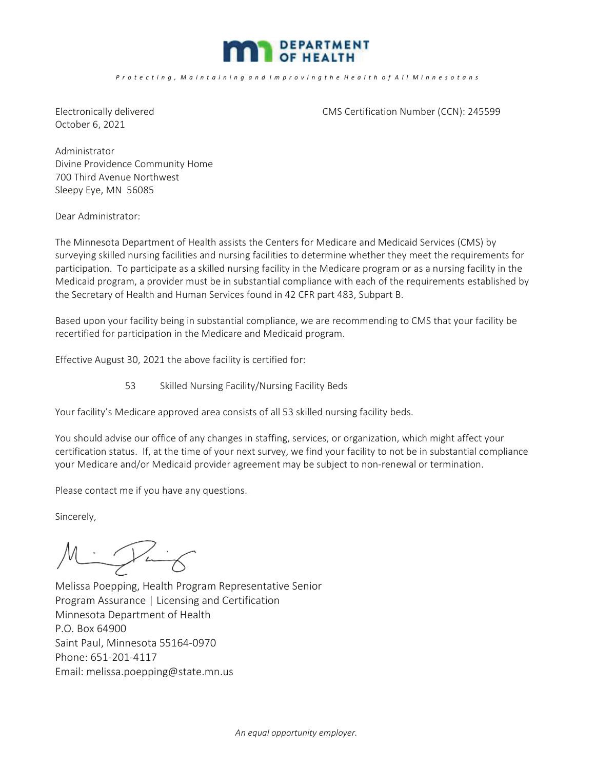

#### *P r o t e c t i n g , M a i n t a i n i n g a n d I m p r o v i n g t h e H e a l t h o f A l l M i n n e s o t a n s*

October 6, 2021

Electronically delivered CMS Certification Number (CCN): 245599

Administrator Divine Providence Community Home 700 Third Avenue Northwest Sleepy Eye, MN 56085

Dear Administrator:

The Minnesota Department of Health assists the Centers for Medicare and Medicaid Services (CMS) by surveying skilled nursing facilities and nursing facilities to determine whether they meet the requirements for participation. To participate as a skilled nursing facility in the Medicare program or as a nursing facility in the Medicaid program, a provider must be in substantial compliance with each of the requirements established by the Secretary of Health and Human Services found in 42 CFR part 483, Subpart B.

Based upon your facility being in substantial compliance, we are recommending to CMS that your facility be recertified for participation in the Medicare and Medicaid program.

Effective August 30, 2021 the above facility is certified for:

53 Skilled Nursing Facility/Nursing Facility Beds

Your facility's Medicare approved area consists of all 53 skilled nursing facility beds.

You should advise our office of any changes in staffing, services, or organization, which might affect your certification status. If, at the time of your next survey, we find your facility to not be in substantial compliance your Medicare and/or Medicaid provider agreement may be subject to non-renewal or termination.

Please contact me if you have any questions.

Sincerely,

 $M_{\cdot}$ 

Melissa Poepping, Health Program Representative Senior Program Assurance | Licensing and Certification Minnesota Department of Health P.O. Box 64900 Saint Paul, Minnesota 55164-0970 Phone: 651-201-4117 Email: melissa.poepping@state.mn.us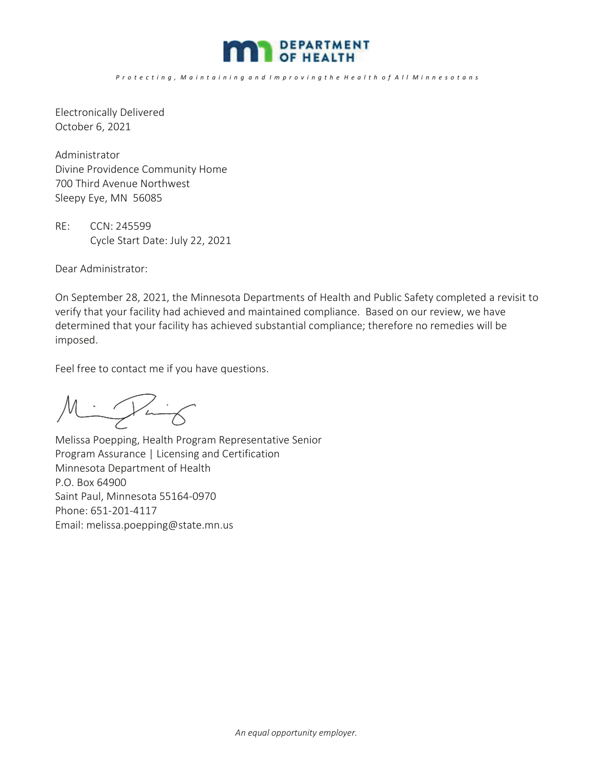

*P r o t e c t i n g , M a i n t a i n i n g a n d I m p r o v i n g t h e H e a l t h o f A l l M i n n e s o t a n s*

Electronically Delivered October 6, 2021

Administrator Divine Providence Community Home 700 Third Avenue Northwest Sleepy Eye, MN 56085

RE: CCN: 245599 Cycle Start Date: July 22, 2021

Dear Administrator:

On September 28, 2021, the Minnesota Departments of Health and Public Safety completed a revisit to verify that your facility had achieved and maintained compliance. Based on our review, we have determined that your facility has achieved substantial compliance; therefore no remedies will be imposed.

Feel free to contact me if you have questions.

Mintig

Melissa Poepping, Health Program Representative Senior Program Assurance | Licensing and Certification Minnesota Department of Health P.O. Box 64900 Saint Paul, Minnesota 55164-0970 Phone: 651-201-4117 Email: melissa.poepping@state.mn.us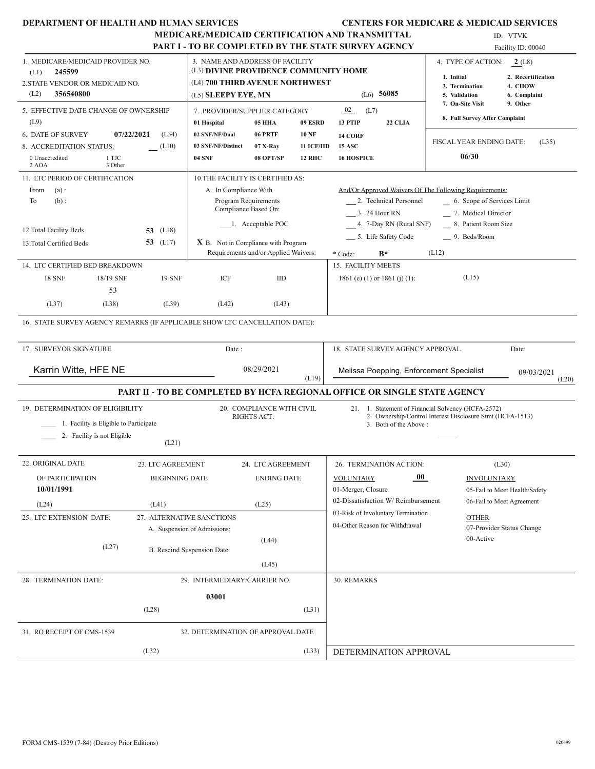|  | DEPARTMENT OF HEALTH AND HUMAN SERVICES |  |  |  |
|--|-----------------------------------------|--|--|--|
|--|-----------------------------------------|--|--|--|

#### CENTERS FOR MEDICARE & MEDICAID SERVICES

# MEDICARE/MEDICAID CERTIFICATION AND TRANSMITTAL

|                                                                             | <b>MEDICARE/MEDICAID CERTIFICATION AND TRANSMITTAL</b> |                                                                          |                                      |               | ID: VTVK                                                                 |                                                           |                               |
|-----------------------------------------------------------------------------|--------------------------------------------------------|--------------------------------------------------------------------------|--------------------------------------|---------------|--------------------------------------------------------------------------|-----------------------------------------------------------|-------------------------------|
|                                                                             |                                                        |                                                                          |                                      |               | PART I - TO BE COMPLETED BY THE STATE SURVEY AGENCY                      |                                                           | Facility ID: 00040            |
| 1. MEDICARE/MEDICAID PROVIDER NO.<br>245599<br>(L1)                         |                                                        | 3. NAME AND ADDRESS OF FACILITY<br>(L3) DIVINE PROVIDENCE COMMUNITY HOME |                                      |               |                                                                          | 4. TYPE OF ACTION:                                        | 2(L8)                         |
| 2.STATE VENDOR OR MEDICAID NO.                                              |                                                        | (L4) 700 THIRD AVENUE NORTHWEST                                          |                                      |               |                                                                          | 1. Initial<br>3. Termination                              | 2. Recertification<br>4. CHOW |
| (L2)<br>356540800                                                           |                                                        | (L5) <b>SLEEPY EYE, MN</b>                                               |                                      |               | $(L6)$ 56085                                                             | 5. Validation                                             | 6. Complaint                  |
| 5. EFFECTIVE DATE CHANGE OF OWNERSHIP<br>(L9)                               |                                                        | 7. PROVIDER/SUPPLIER CATEGORY<br>01 Hospital                             | <b>05 HHA</b>                        | 09 ESRD       | 02<br>(L7)<br>13 PTIP<br>22 CLIA                                         | 7. On-Site Visit<br>8. Full Survey After Complaint        | 9. Other                      |
| 07/22/2021<br><b>6. DATE OF SURVEY</b>                                      | (L34)                                                  | 02 SNF/NF/Dual                                                           | 06 PRTF                              | <b>10 NF</b>  | 14 CORF                                                                  |                                                           |                               |
| 8. ACCREDITATION STATUS:                                                    | (L10)                                                  | 03 SNF/NF/Distinct                                                       | $07$ X-Rav                           | 11 ICF/IID    | <b>15 ASC</b>                                                            | FISCAL YEAR ENDING DATE:                                  | (L35)                         |
| 0 Unaccredited<br>1 TJC<br>2 AOA<br>3 Other                                 |                                                        | <b>04 SNF</b>                                                            | 08 OPT/SP                            | <b>12 RHC</b> | <b>16 HOSPICE</b>                                                        | 06/30                                                     |                               |
| 11. LTC PERIOD OF CERTIFICATION                                             |                                                        | 10. THE FACILITY IS CERTIFIED AS:                                        |                                      |               |                                                                          |                                                           |                               |
| From<br>(a):                                                                |                                                        | A. In Compliance With                                                    |                                      |               | And/Or Approved Waivers Of The Following Requirements:                   |                                                           |                               |
| $(b)$ :<br>To                                                               |                                                        |                                                                          | Program Requirements                 |               | __ 2. Technical Personnel                                                | 6. Scope of Services Limit                                |                               |
|                                                                             |                                                        |                                                                          | Compliance Based On:                 |               | 3. 24 Hour RN                                                            | _7. Medical Director                                      |                               |
| 12. Total Facility Beds<br>53                                               | (L18)                                                  |                                                                          | 1. Acceptable POC                    |               | 4. 7-Day RN (Rural SNF)                                                  | 8. Patient Room Size                                      |                               |
| 13. Total Certified Beds                                                    | 53 $(L17)$                                             | $X$ B. Not in Compliance with Program                                    |                                      |               | __ 5. Life Safety Code                                                   | __ 9. Beds/Room                                           |                               |
|                                                                             |                                                        |                                                                          | Requirements and/or Applied Waivers: |               | $B^*$<br>* Code:                                                         | (L12)                                                     |                               |
| 14. LTC CERTIFIED BED BREAKDOWN                                             |                                                        |                                                                          |                                      |               | 15. FACILITY MEETS                                                       |                                                           |                               |
| <b>18 SNF</b><br>18/19 SNF                                                  | <b>19 SNF</b>                                          | ICF                                                                      | IID                                  |               | 1861 (e) (1) or 1861 (j) (1):                                            | (L15)                                                     |                               |
| 53<br>(L37)<br>(L38)                                                        | (L39)                                                  | (L42)                                                                    | (L43)                                |               |                                                                          |                                                           |                               |
| 16. STATE SURVEY AGENCY REMARKS (IF APPLICABLE SHOW LTC CANCELLATION DATE): |                                                        |                                                                          |                                      |               |                                                                          |                                                           |                               |
| 17. SURVEYOR SIGNATURE                                                      |                                                        | Date:                                                                    |                                      |               | 18. STATE SURVEY AGENCY APPROVAL                                         |                                                           | Date:                         |
| Karrin Witte, HFE NE                                                        |                                                        |                                                                          | 08/29/2021                           | (L19)         | Melissa Poepping, Enforcement Specialist                                 |                                                           | 09/03/2021<br>(L20)           |
|                                                                             |                                                        |                                                                          |                                      |               | PART II - TO BE COMPLETED BY HCFA REGIONAL OFFICE OR SINGLE STATE AGENCY |                                                           |                               |
| 19. DETERMINATION OF ELIGIBILITY                                            |                                                        |                                                                          | 20. COMPLIANCE WITH CIVIL            |               |                                                                          | 21. 1. Statement of Financial Solvency (HCFA-2572)        |                               |
| 1. Facility is Eligible to Participate                                      |                                                        |                                                                          | <b>RIGHTS ACT:</b>                   |               | 3. Both of the Above:                                                    | 2. Ownership/Control Interest Disclosure Stmt (HCFA-1513) |                               |
| 2. Facility is not Eligible                                                 |                                                        |                                                                          |                                      |               |                                                                          |                                                           |                               |
|                                                                             | (L21)                                                  |                                                                          |                                      |               |                                                                          |                                                           |                               |
| 22. ORIGINAL DATE                                                           | 23. LTC AGREEMENT                                      |                                                                          | 24. LTC AGREEMENT                    |               | 26. TERMINATION ACTION:                                                  |                                                           | (L30)                         |
| OF PARTICIPATION                                                            | <b>BEGINNING DATE</b>                                  |                                                                          | <b>ENDING DATE</b>                   |               | $00\,$<br><b>VOLUNTARY</b>                                               | <b>INVOLUNTARY</b>                                        |                               |
| 10/01/1991                                                                  |                                                        |                                                                          |                                      |               | 01-Merger, Closure                                                       |                                                           | 05-Fail to Meet Health/Safety |
| (L24)                                                                       | (L41)                                                  |                                                                          | (L25)                                |               | 02-Dissatisfaction W/Reimbursement                                       |                                                           | 06-Fail to Meet Agreement     |
| 25. LTC EXTENSION DATE:                                                     |                                                        | 27. ALTERNATIVE SANCTIONS                                                |                                      |               | 03-Risk of Involuntary Termination                                       | <b>OTHER</b>                                              |                               |
|                                                                             |                                                        | A. Suspension of Admissions:                                             |                                      |               | 04-Other Reason for Withdrawal                                           |                                                           | 07-Provider Status Change     |
| (L27)                                                                       |                                                        | B. Rescind Suspension Date:                                              | (L44)                                |               |                                                                          | 00-Active                                                 |                               |
|                                                                             |                                                        |                                                                          | (L45)                                |               |                                                                          |                                                           |                               |
| 28. TERMINATION DATE:                                                       |                                                        | 29. INTERMEDIARY/CARRIER NO.                                             |                                      |               | 30. REMARKS                                                              |                                                           |                               |
|                                                                             |                                                        |                                                                          |                                      |               |                                                                          |                                                           |                               |
| (L28)                                                                       |                                                        | 03001                                                                    |                                      | (L31)         |                                                                          |                                                           |                               |
|                                                                             |                                                        |                                                                          |                                      |               |                                                                          |                                                           |                               |
| 31. RO RECEIPT OF CMS-1539                                                  |                                                        | 32. DETERMINATION OF APPROVAL DATE                                       |                                      |               |                                                                          |                                                           |                               |
| (L32)                                                                       |                                                        |                                                                          |                                      | (L33)         | DETERMINATION APPROVAL                                                   |                                                           |                               |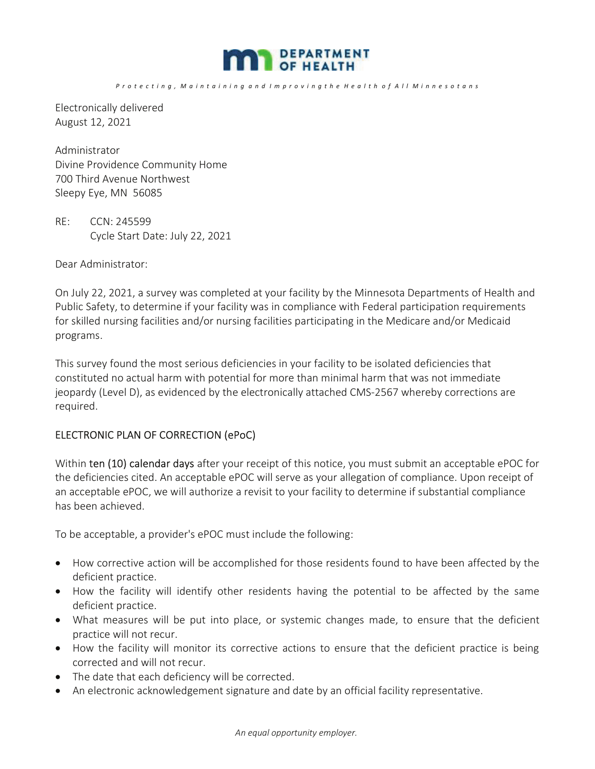

*P r o t e c t i n g , M a i n t a i n i n g a n d I m p r o v i n g t h e H e a l t h o f A l l M i n n e s o t a n s*

Electronically delivered August 12, 2021

Administrator Divine Providence Community Home 700 Third Avenue Northwest Sleepy Eye, MN 56085

RE: CCN: 245599 Cycle Start Date: July 22, 2021

Dear Administrator:

On July 22, 2021, a survey was completed at your facility by the Minnesota Departments of Health and Public Safety, to determine if your facility was in compliance with Federal participation requirements for skilled nursing facilities and/or nursing facilities participating in the Medicare and/or Medicaid programs.

This survey found the most serious deficiencies in your facility to be isolated deficiencies that constituted no actual harm with potential for more than minimal harm that was not immediate jeopardy (Level D), as evidenced by the electronically attached CMS-2567 whereby corrections are required.

#### ELECTRONIC PLAN OF CORRECTION (ePoC)

Within ten (10) calendar days after your receipt of this notice, you must submit an acceptable ePOC for the deficiencies cited. An acceptable ePOC will serve as your allegation of compliance. Upon receipt of an acceptable ePOC, we will authorize a revisit to your facility to determine if substantial compliance has been achieved.

To be acceptable, a provider's ePOC must include the following:

- How corrective action will be accomplished for those residents found to have been affected by the deficient practice.
- How the facility will identify other residents having the potential to be affected by the same deficient practice.
- What measures will be put into place, or systemic changes made, to ensure that the deficient practice will not recur.
- How the facility will monitor its corrective actions to ensure that the deficient practice is being corrected and will not recur.
- The date that each deficiency will be corrected.
- An electronic acknowledgement signature and date by an official facility representative.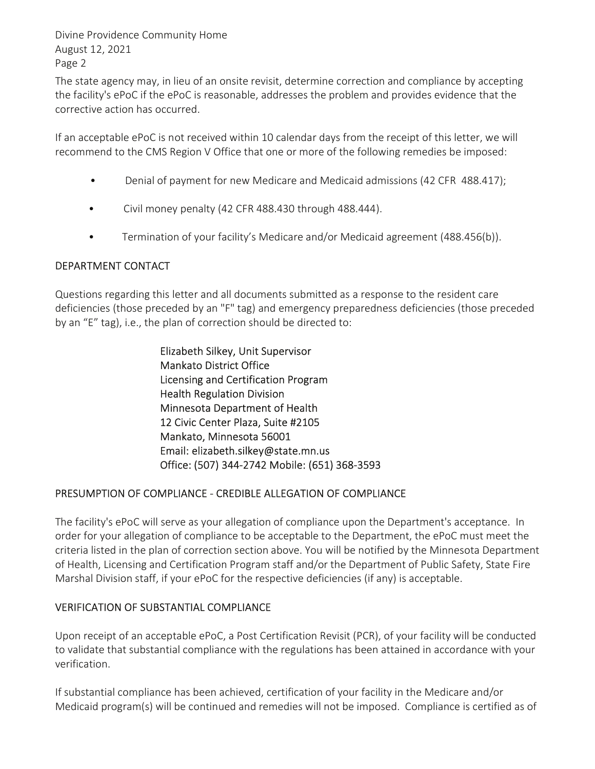Divine Providence Community Home August 12, 2021 Page 2

The state agency may, in lieu of an onsite revisit, determine correction and compliance by accepting the facility's ePoC if the ePoC is reasonable, addresses the problem and provides evidence that the corrective action has occurred.

If an acceptable ePoC is not received within 10 calendar days from the receipt of this letter, we will recommend to the CMS Region V Office that one or more of the following remedies be imposed:

- Denial of payment for new Medicare and Medicaid admissions (42 CFR 488.417);
- Civil money penalty (42 CFR 488.430 through 488.444).
- Termination of your facility's Medicare and/or Medicaid agreement (488.456(b)).

### DEPARTMENT CONTACT

Questions regarding this letter and all documents submitted as a response to the resident care deficiencies (those preceded by an "F" tag) and emergency preparedness deficiencies (those preceded by an "E" tag), i.e., the plan of correction should be directed to:

> Elizabeth Silkey, Unit Supervisor Mankato District Office Licensing and Certification Program Health Regulation Division Minnesota Department of Health 12 Civic Center Plaza, Suite #2105 Mankato, Minnesota 56001 Email: elizabeth.silkey@state.mn.us Office: (507) 344-2742 Mobile: (651) 368-3593

#### PRESUMPTION OF COMPLIANCE - CREDIBLE ALLEGATION OF COMPLIANCE

The facility's ePoC will serve as your allegation of compliance upon the Department's acceptance. In order for your allegation of compliance to be acceptable to the Department, the ePoC must meet the criteria listed in the plan of correction section above. You will be notified by the Minnesota Department of Health, Licensing and Certification Program staff and/or the Department of Public Safety, State Fire Marshal Division staff, if your ePoC for the respective deficiencies (if any) is acceptable.

## VERIFICATION OF SUBSTANTIAL COMPLIANCE

Upon receipt of an acceptable ePoC, a Post Certification Revisit (PCR), of your facility will be conducted to validate that substantial compliance with the regulations has been attained in accordance with your verification.

If substantial compliance has been achieved, certification of your facility in the Medicare and/or Medicaid program(s) will be continued and remedies will not be imposed. Compliance is certified as of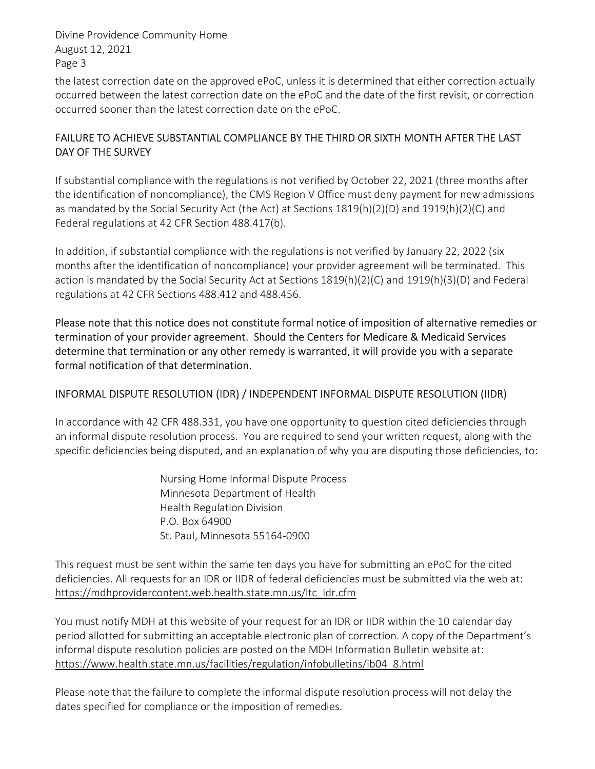Divine Providence Community Home August 12, 2021 Page 3

the latest correction date on the approved ePoC, unless it is determined that either correction actually occurred between the latest correction date on the ePoC and the date of the first revisit, or correction occurred sooner than the latest correction date on the ePoC.

## FAILURE TO ACHIEVE SUBSTANTIAL COMPLIANCE BY THE THIRD OR SIXTH MONTH AFTER THE LAST DAY OF THE SURVEY

If substantial compliance with the regulations is not verified by October 22, 2021 (three months after the identification of noncompliance), the CMS Region V Office must deny payment for new admissions as mandated by the Social Security Act (the Act) at Sections 1819(h)(2)(D) and 1919(h)(2)(C) and Federal regulations at 42 CFR Section 488.417(b).

In addition, if substantial compliance with the regulations is not verified by January 22, 2022 (six months after the identification of noncompliance) your provider agreement will be terminated. This action is mandated by the Social Security Act at Sections 1819(h)(2)(C) and 1919(h)(3)(D) and Federal regulations at 42 CFR Sections 488.412 and 488.456.

Please note that this notice does not constitute formal notice of imposition of alternative remedies or termination of your provider agreement. Should the Centers for Medicare & Medicaid Services determine that termination or any other remedy is warranted, it will provide you with a separate formal notification of that determination.

## INFORMAL DISPUTE RESOLUTION (IDR) / INDEPENDENT INFORMAL DISPUTE RESOLUTION (IIDR)

In accordance with 42 CFR 488.331, you have one opportunity to question cited deficiencies through an informal dispute resolution process. You are required to send your written request, along with the specific deficiencies being disputed, and an explanation of why you are disputing those deficiencies, to:

> Nursing Home Informal Dispute Process Minnesota Department of Health Health Regulation Division P.O. Box 64900 St. Paul, Minnesota 55164-0900

This request must be sent within the same ten days you have for submitting an ePoC for the cited deficiencies. All requests for an IDR or IIDR of federal deficiencies must be submitted via the web at: https://mdhprovidercontent.web.health.state.mn.us/ltc\_idr.cfm

You must notify MDH at this website of your request for an IDR or IIDR within the 10 calendar day period allotted for submitting an acceptable electronic plan of correction. A copy of the Department's informal dispute resolution policies are posted on the MDH Information Bulletin website at: https://www.health.state.mn.us/facilities/regulation/infobulletins/ib04\_8.html

Please note that the failure to complete the informal dispute resolution process will not delay the dates specified for compliance or the imposition of remedies.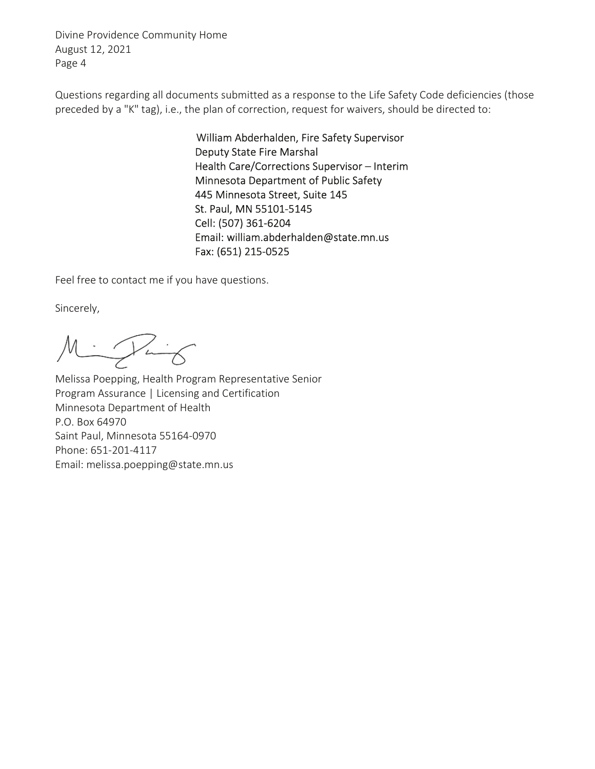Divine Providence Community Home August 12, 2021 Page 4

Questions regarding all documents submitted as a response to the Life Safety Code deficiencies (those preceded by a "K" tag), i.e., the plan of correction, request for waivers, should be directed to:

> William Abderhalden, Fire Safety Supervisor Deputy State Fire Marshal Health Care/Corrections Supervisor – Interim Minnesota Department of Public Safety 445 Minnesota Street, Suite 145 St. Paul, MN 55101-5145 Cell: (507) 361-6204 Email: william.abderhalden@state.mn.us Fax: (651) 215-0525

Feel free to contact me if you have questions.

Sincerely,

Mintig

Melissa Poepping, Health Program Representative Senior Program Assurance | Licensing and Certification Minnesota Department of Health P.O. Box 64970 Saint Paul, Minnesota 55164-0970 Phone: 651-201-4117 Email: melissa.poepping@state.mn.us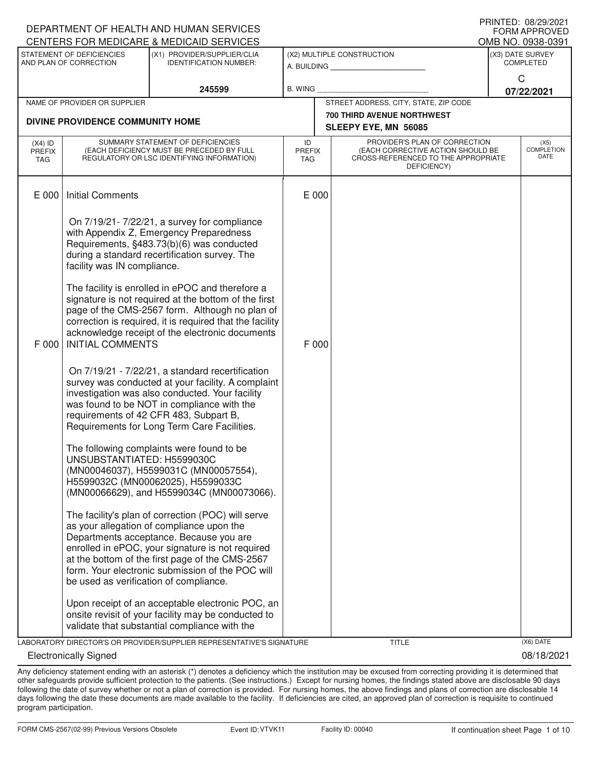|                                          |                                                     | DEPARTMENT OF HEALTH AND HUMAN SERVICES                                                                                                                                                                                                                                                               |                                   |                                                                                                                          | ו ושאנברי. טטובטובעבו<br>FORM APPROVED |
|------------------------------------------|-----------------------------------------------------|-------------------------------------------------------------------------------------------------------------------------------------------------------------------------------------------------------------------------------------------------------------------------------------------------------|-----------------------------------|--------------------------------------------------------------------------------------------------------------------------|----------------------------------------|
|                                          |                                                     | CENTERS FOR MEDICARE & MEDICAID SERVICES                                                                                                                                                                                                                                                              |                                   |                                                                                                                          | OMB NO. 0938-0391                      |
|                                          | STATEMENT OF DEFICIENCIES<br>AND PLAN OF CORRECTION | (X1) PROVIDER/SUPPLIER/CLIA<br><b>IDENTIFICATION NUMBER:</b>                                                                                                                                                                                                                                          |                                   | (X2) MULTIPLE CONSTRUCTION<br>A. BUILDING                                                                                | (X3) DATE SURVEY<br><b>COMPLETED</b>   |
|                                          |                                                     | 245599                                                                                                                                                                                                                                                                                                | <b>B. WING</b>                    |                                                                                                                          | C<br>07/22/2021                        |
|                                          | NAME OF PROVIDER OR SUPPLIER                        |                                                                                                                                                                                                                                                                                                       |                                   | STREET ADDRESS, CITY, STATE, ZIP CODE                                                                                    |                                        |
|                                          | DIVINE PROVIDENCE COMMUNITY HOME                    |                                                                                                                                                                                                                                                                                                       |                                   | <b>700 THIRD AVENUE NORTHWEST</b><br>SLEEPY EYE, MN 56085                                                                |                                        |
| $(X4)$ ID<br><b>PREFIX</b><br><b>TAG</b> |                                                     | SUMMARY STATEMENT OF DEFICIENCIES<br>(EACH DEFICIENCY MUST BE PRECEDED BY FULL<br>REGULATORY OR LSC IDENTIFYING INFORMATION)                                                                                                                                                                          | ID<br><b>PREFIX</b><br><b>TAG</b> | PROVIDER'S PLAN OF CORRECTION<br>(EACH CORRECTIVE ACTION SHOULD BE<br>CROSS-REFERENCED TO THE APPROPRIATE<br>DEFICIENCY) | (X5)<br>COMPLETION<br>DATE             |
| E 000                                    | <b>Initial Comments</b>                             |                                                                                                                                                                                                                                                                                                       | E 000                             |                                                                                                                          |                                        |
|                                          | facility was IN compliance.                         | On 7/19/21-7/22/21, a survey for compliance<br>with Appendix Z, Emergency Preparedness<br>Requirements, §483.73(b)(6) was conducted<br>during a standard recertification survey. The                                                                                                                  |                                   |                                                                                                                          |                                        |
| F 000                                    | <b>INITIAL COMMENTS</b>                             | The facility is enrolled in ePOC and therefore a<br>signature is not required at the bottom of the first<br>page of the CMS-2567 form. Although no plan of<br>correction is required, it is required that the facility<br>acknowledge receipt of the electronic documents                             | F 000                             |                                                                                                                          |                                        |
|                                          |                                                     | On 7/19/21 - 7/22/21, a standard recertification<br>survey was conducted at your facility. A complaint<br>investigation was also conducted. Your facility<br>was found to be NOT in compliance with the<br>requirements of 42 CFR 483, Subpart B,<br>Requirements for Long Term Care Facilities.      |                                   |                                                                                                                          |                                        |
|                                          | UNSUBSTANTIATED: H5599030C                          | The following complaints were found to be<br>(MN00046037), H5599031C (MN00057554),<br>H5599032C (MN00062025), H5599033C<br>(MN00066629), and H5599034C (MN00073066).                                                                                                                                  |                                   |                                                                                                                          |                                        |
|                                          | be used as verification of compliance.              | The facility's plan of correction (POC) will serve<br>as your allegation of compliance upon the<br>Departments acceptance. Because you are<br>enrolled in ePOC, your signature is not required<br>at the bottom of the first page of the CMS-2567<br>form. Your electronic submission of the POC will |                                   |                                                                                                                          |                                        |
|                                          |                                                     | Upon receipt of an acceptable electronic POC, an<br>onsite revisit of your facility may be conducted to<br>validate that substantial compliance with the                                                                                                                                              |                                   |                                                                                                                          |                                        |
|                                          |                                                     | LABORATORY DIRECTOR'S OR PROVIDER/SUPPLIER REPRESENTATIVE'S SIGNATURE                                                                                                                                                                                                                                 |                                   | <b>TITLE</b>                                                                                                             | (X6) DATE                              |
|                                          | <b>Electronically Signed</b>                        |                                                                                                                                                                                                                                                                                                       |                                   |                                                                                                                          | 08/18/2021                             |

Any deficiency statement ending with an asterisk (\*) denotes a deficiency which the institution may be excused from correcting providing it is determined that other safeguards provide sufficient protection to the patients. (See instructions.) Except for nursing homes, the findings stated above are disclosable 90 days following the date of survey whether or not a plan of correction is provided. For nursing homes, the above findings and plans of correction are disclosable 14 days following the date these documents are made available to the facility. If deficiencies are cited, an approved plan of correction is requisite to continued program participation.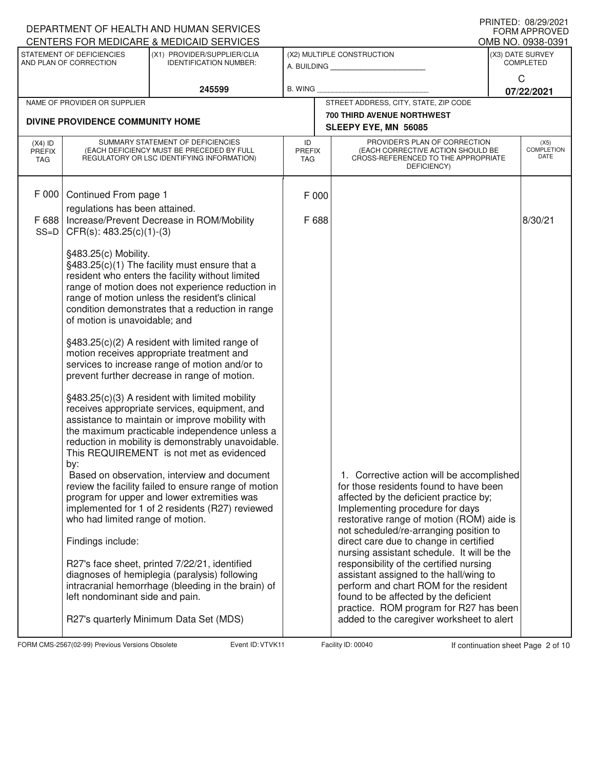|                                   |                                                                                            | DEPARTMENT OF HEALTH AND HUMAN SERVICES<br>CENTERS FOR MEDICARE & MEDICAID SERVICES                                                                                                                                                                                                                                                                                                                                                                                                                                                                                                                                                                                                                                                                                                                                   |                                   |                                                                                                                                                                                                                                                                                                                                                                                                                                                                                                                                                                   | PRINTED: 08/29/2021<br><b>FORM APPROVED</b><br>OMB NO. 0938-0391 |
|-----------------------------------|--------------------------------------------------------------------------------------------|-----------------------------------------------------------------------------------------------------------------------------------------------------------------------------------------------------------------------------------------------------------------------------------------------------------------------------------------------------------------------------------------------------------------------------------------------------------------------------------------------------------------------------------------------------------------------------------------------------------------------------------------------------------------------------------------------------------------------------------------------------------------------------------------------------------------------|-----------------------------------|-------------------------------------------------------------------------------------------------------------------------------------------------------------------------------------------------------------------------------------------------------------------------------------------------------------------------------------------------------------------------------------------------------------------------------------------------------------------------------------------------------------------------------------------------------------------|------------------------------------------------------------------|
|                                   | STATEMENT OF DEFICIENCIES<br>AND PLAN OF CORRECTION                                        | (X1) PROVIDER/SUPPLIER/CLIA<br><b>IDENTIFICATION NUMBER:</b>                                                                                                                                                                                                                                                                                                                                                                                                                                                                                                                                                                                                                                                                                                                                                          |                                   | (X2) MULTIPLE CONSTRUCTION                                                                                                                                                                                                                                                                                                                                                                                                                                                                                                                                        | (X3) DATE SURVEY<br><b>COMPLETED</b>                             |
|                                   |                                                                                            | 245599                                                                                                                                                                                                                                                                                                                                                                                                                                                                                                                                                                                                                                                                                                                                                                                                                | B. WING                           |                                                                                                                                                                                                                                                                                                                                                                                                                                                                                                                                                                   | C<br>07/22/2021                                                  |
|                                   | NAME OF PROVIDER OR SUPPLIER                                                               |                                                                                                                                                                                                                                                                                                                                                                                                                                                                                                                                                                                                                                                                                                                                                                                                                       |                                   | STREET ADDRESS, CITY, STATE, ZIP CODE                                                                                                                                                                                                                                                                                                                                                                                                                                                                                                                             |                                                                  |
|                                   | DIVINE PROVIDENCE COMMUNITY HOME                                                           |                                                                                                                                                                                                                                                                                                                                                                                                                                                                                                                                                                                                                                                                                                                                                                                                                       |                                   | <b>700 THIRD AVENUE NORTHWEST</b><br>SLEEPY EYE, MN 56085                                                                                                                                                                                                                                                                                                                                                                                                                                                                                                         |                                                                  |
| $(X4)$ ID<br><b>PREFIX</b><br>TAG |                                                                                            | SUMMARY STATEMENT OF DEFICIENCIES<br>(EACH DEFICIENCY MUST BE PRECEDED BY FULL<br>REGULATORY OR LSC IDENTIFYING INFORMATION)                                                                                                                                                                                                                                                                                                                                                                                                                                                                                                                                                                                                                                                                                          | ID<br><b>PREFIX</b><br><b>TAG</b> | PROVIDER'S PLAN OF CORRECTION<br>(EACH CORRECTIVE ACTION SHOULD BE<br>CROSS-REFERENCED TO THE APPROPRIATE<br>DEFICIENCY)                                                                                                                                                                                                                                                                                                                                                                                                                                          | (X5)<br><b>COMPLETION</b><br>DATE                                |
| F 000<br>F 688                    | Continued From page 1<br>regulations has been attained.                                    | Increase/Prevent Decrease in ROM/Mobility                                                                                                                                                                                                                                                                                                                                                                                                                                                                                                                                                                                                                                                                                                                                                                             | F 000<br>F 688                    |                                                                                                                                                                                                                                                                                                                                                                                                                                                                                                                                                                   | 8/30/21                                                          |
| $SS=D$                            | $CFR(s): 483.25(c)(1)-(3)$<br>§483.25(c) Mobility.<br>of motion is unavoidable; and<br>by: | §483.25(c)(1) The facility must ensure that a<br>resident who enters the facility without limited<br>range of motion does not experience reduction in<br>range of motion unless the resident's clinical<br>condition demonstrates that a reduction in range<br>§483.25(c)(2) A resident with limited range of<br>motion receives appropriate treatment and<br>services to increase range of motion and/or to<br>prevent further decrease in range of motion.<br>§483.25(c)(3) A resident with limited mobility<br>receives appropriate services, equipment, and<br>assistance to maintain or improve mobility with<br>the maximum practicable independence unless a<br>reduction in mobility is demonstrably unavoidable.<br>This REQUIREMENT is not met as evidenced<br>Based on observation, interview and document |                                   | 1. Corrective action will be accomplished                                                                                                                                                                                                                                                                                                                                                                                                                                                                                                                         |                                                                  |
|                                   | who had limited range of motion.<br>Findings include:<br>left nondominant side and pain.   | review the facility failed to ensure range of motion<br>program for upper and lower extremities was<br>implemented for 1 of 2 residents (R27) reviewed<br>R27's face sheet, printed 7/22/21, identified<br>diagnoses of hemiplegia (paralysis) following<br>intracranial hemorrhage (bleeding in the brain) of<br>R27's quarterly Minimum Data Set (MDS)                                                                                                                                                                                                                                                                                                                                                                                                                                                              |                                   | for those residents found to have been<br>affected by the deficient practice by;<br>Implementing procedure for days<br>restorative range of motion (ROM) aide is<br>not scheduled/re-arranging position to<br>direct care due to change in certified<br>nursing assistant schedule. It will be the<br>responsibility of the certified nursing<br>assistant assigned to the hall/wing to<br>perform and chart ROM for the resident<br>found to be affected by the deficient<br>practice. ROM program for R27 has been<br>added to the caregiver worksheet to alert |                                                                  |

FORM CMS-2567(02-99) Previous Versions Obsolete Variation School Event ID: VTVK11 Facility ID: 00040 If continuation sheet Page 2 of 10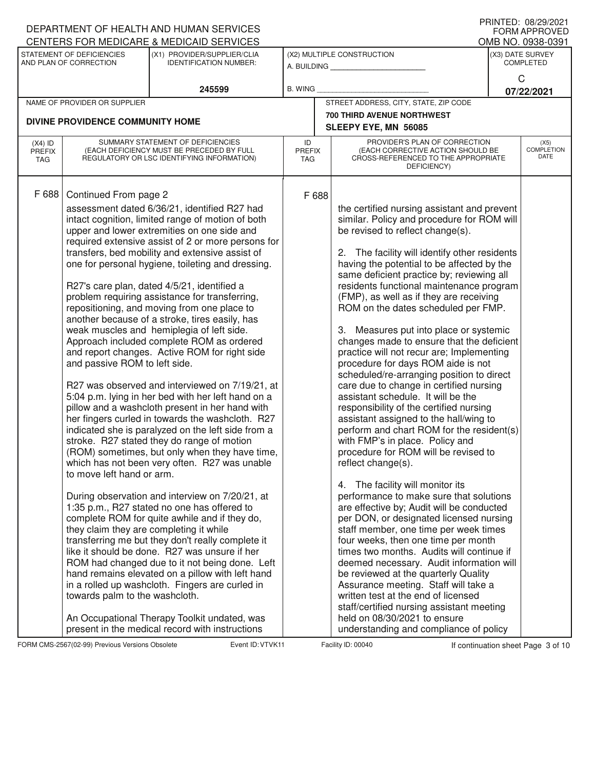|                                   |                                                     | DEPARTMENT OF HEALTH AND HUMAN SERVICES                                                                                      |                             |       |                                                                                                                          |   | <b>FORM APPROVED</b>                 |
|-----------------------------------|-----------------------------------------------------|------------------------------------------------------------------------------------------------------------------------------|-----------------------------|-------|--------------------------------------------------------------------------------------------------------------------------|---|--------------------------------------|
|                                   |                                                     | <b>CENTERS FOR MEDICARE &amp; MEDICAID SERVICES</b>                                                                          |                             |       |                                                                                                                          |   | OMB NO. 0938-0391                    |
|                                   | STATEMENT OF DEFICIENCIES<br>AND PLAN OF CORRECTION | (X1) PROVIDER/SUPPLIER/CLIA<br><b>IDENTIFICATION NUMBER:</b>                                                                 |                             |       | (X2) MULTIPLE CONSTRUCTION<br>A. BUILDING                                                                                |   | (X3) DATE SURVEY<br><b>COMPLETED</b> |
|                                   |                                                     | 245599                                                                                                                       | <b>B. WING</b>              |       |                                                                                                                          | C | 07/22/2021                           |
|                                   | NAME OF PROVIDER OR SUPPLIER                        |                                                                                                                              |                             |       | STREET ADDRESS, CITY, STATE, ZIP CODE                                                                                    |   |                                      |
|                                   |                                                     |                                                                                                                              |                             |       | 700 THIRD AVENUE NORTHWEST                                                                                               |   |                                      |
|                                   | DIVINE PROVIDENCE COMMUNITY HOME                    |                                                                                                                              |                             |       | SLEEPY EYE, MN 56085                                                                                                     |   |                                      |
| $(X4)$ ID<br><b>PREFIX</b><br>TAG |                                                     | SUMMARY STATEMENT OF DEFICIENCIES<br>(EACH DEFICIENCY MUST BE PRECEDED BY FULL<br>REGULATORY OR LSC IDENTIFYING INFORMATION) | ID<br><b>PREFIX</b><br>TAG. |       | PROVIDER'S PLAN OF CORRECTION<br>(EACH CORRECTIVE ACTION SHOULD BE<br>CROSS-REFERENCED TO THE APPROPRIATE<br>DEFICIENCY) |   | (X5)<br><b>COMPLETION</b><br>DATE    |
| F 688                             | Continued From page 2                               |                                                                                                                              |                             | F 688 |                                                                                                                          |   |                                      |
|                                   |                                                     | assessment dated 6/36/21, identified R27 had                                                                                 |                             |       | the certified nursing assistant and prevent                                                                              |   |                                      |
|                                   |                                                     | intact cognition, limited range of motion of both                                                                            |                             |       | similar. Policy and procedure for ROM will                                                                               |   |                                      |
|                                   |                                                     | upper and lower extremities on one side and                                                                                  |                             |       | be revised to reflect change(s).                                                                                         |   |                                      |
|                                   |                                                     | required extensive assist of 2 or more persons for                                                                           |                             |       |                                                                                                                          |   |                                      |
|                                   |                                                     | transfers, bed mobility and extensive assist of                                                                              |                             |       | 2. The facility will identify other residents                                                                            |   |                                      |
|                                   |                                                     | one for personal hygiene, toileting and dressing.                                                                            |                             |       | having the potential to be affected by the                                                                               |   |                                      |
|                                   |                                                     |                                                                                                                              |                             |       | same deficient practice by; reviewing all                                                                                |   |                                      |
|                                   |                                                     | R27's care plan, dated 4/5/21, identified a                                                                                  |                             |       | residents functional maintenance program                                                                                 |   |                                      |
|                                   |                                                     | problem requiring assistance for transferring,                                                                               |                             |       | (FMP), as well as if they are receiving                                                                                  |   |                                      |
|                                   |                                                     | repositioning, and moving from one place to                                                                                  |                             |       | ROM on the dates scheduled per FMP.                                                                                      |   |                                      |
|                                   |                                                     | another because of a stroke, tires easily, has                                                                               |                             |       |                                                                                                                          |   |                                      |
|                                   |                                                     | weak muscles and hemiplegia of left side.                                                                                    |                             |       | 3. Measures put into place or systemic                                                                                   |   |                                      |
|                                   |                                                     | Approach included complete ROM as ordered                                                                                    |                             |       | changes made to ensure that the deficient                                                                                |   |                                      |
|                                   |                                                     | and report changes. Active ROM for right side                                                                                |                             |       | practice will not recur are; Implementing                                                                                |   |                                      |
|                                   | and passive ROM to left side.                       |                                                                                                                              |                             |       | procedure for days ROM aide is not<br>scheduled/re-arranging position to direct                                          |   |                                      |
|                                   |                                                     | R27 was observed and interviewed on 7/19/21, at                                                                              |                             |       | care due to change in certified nursing                                                                                  |   |                                      |
|                                   |                                                     | 5:04 p.m. lying in her bed with her left hand on a                                                                           |                             |       | assistant schedule. It will be the                                                                                       |   |                                      |
|                                   |                                                     | pillow and a washcloth present in her hand with                                                                              |                             |       | responsibility of the certified nursing                                                                                  |   |                                      |
|                                   |                                                     | her fingers curled in towards the washcloth. R27                                                                             |                             |       | assistant assigned to the hall/wing to                                                                                   |   |                                      |
|                                   |                                                     | indicated she is paralyzed on the left side from a                                                                           |                             |       | perform and chart ROM for the resident(s)                                                                                |   |                                      |
|                                   |                                                     | stroke. R27 stated they do range of motion                                                                                   |                             |       | with FMP's in place. Policy and                                                                                          |   |                                      |
|                                   |                                                     | (ROM) sometimes, but only when they have time,                                                                               |                             |       | procedure for ROM will be revised to                                                                                     |   |                                      |
|                                   | to move left hand or arm.                           | which has not been very often. R27 was unable                                                                                |                             |       | reflect change(s).                                                                                                       |   |                                      |
|                                   |                                                     |                                                                                                                              |                             |       | 4. The facility will monitor its                                                                                         |   |                                      |
|                                   |                                                     | During observation and interview on 7/20/21, at                                                                              |                             |       | performance to make sure that solutions                                                                                  |   |                                      |
|                                   |                                                     | 1:35 p.m., R27 stated no one has offered to                                                                                  |                             |       | are effective by; Audit will be conducted                                                                                |   |                                      |
|                                   |                                                     | complete ROM for quite awhile and if they do,                                                                                |                             |       | per DON, or designated licensed nursing                                                                                  |   |                                      |
|                                   | they claim they are completing it while             |                                                                                                                              |                             |       | staff member, one time per week times                                                                                    |   |                                      |
|                                   |                                                     | transferring me but they don't really complete it                                                                            |                             |       | four weeks, then one time per month                                                                                      |   |                                      |
|                                   |                                                     | like it should be done. R27 was unsure if her                                                                                |                             |       | times two months. Audits will continue if                                                                                |   |                                      |
|                                   |                                                     | ROM had changed due to it not being done. Left                                                                               |                             |       | deemed necessary. Audit information will                                                                                 |   |                                      |
|                                   |                                                     | hand remains elevated on a pillow with left hand<br>in a rolled up washcloth. Fingers are curled in                          |                             |       | be reviewed at the quarterly Quality<br>Assurance meeting. Staff will take a                                             |   |                                      |
|                                   | towards palm to the washcloth.                      |                                                                                                                              |                             |       | written test at the end of licensed                                                                                      |   |                                      |
|                                   |                                                     |                                                                                                                              |                             |       | staff/certified nursing assistant meeting                                                                                |   |                                      |
|                                   |                                                     | An Occupational Therapy Toolkit undated, was                                                                                 |                             |       | held on 08/30/2021 to ensure                                                                                             |   |                                      |
|                                   |                                                     | present in the medical record with instructions                                                                              |                             |       | understanding and compliance of policy                                                                                   |   |                                      |

FORM CMS-2567(02-99) Previous Versions Obsolete Variation School Event ID: VTVK11 Facility ID: 00040 If continuation sheet Page 3 of 10

DEPARTMENT OF HEALTH AND HUMAN SERVICES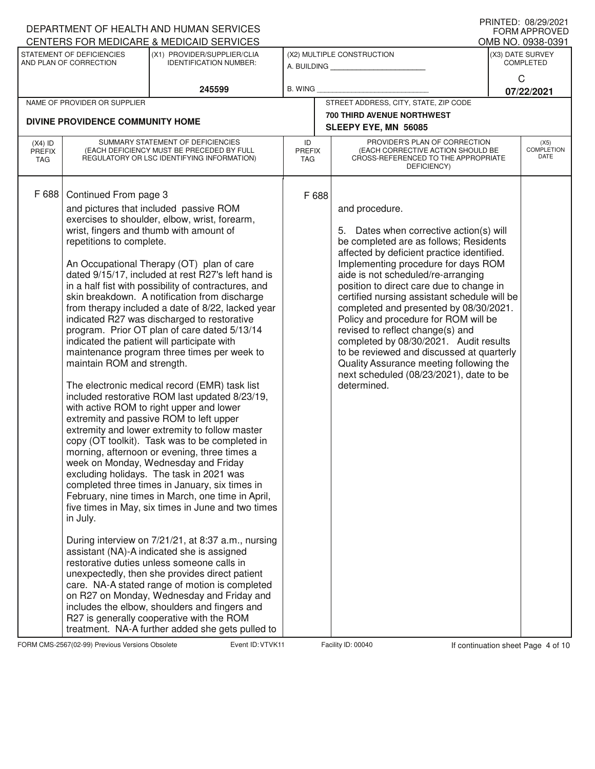|                                          |                                                                                             | DEPARTMENT OF HEALTH AND HUMAN SERVICES                                                                                                                                                                                                                                                                                                                                                                                                                                                                                                                                                                                                                                                                                                                                                                                                                                                                                                                                                                                                                                                                                                                                                                                                                                                                                                                                                                                                                                                                                                                                                                                                               |                            |                                                                                                                                                                                                                                                                                                                                                                                                                                                                                                                                                                                                                                              | ו וזוויונט. טטובטוביונ<br><b>FORM APPROVED</b> |
|------------------------------------------|---------------------------------------------------------------------------------------------|-------------------------------------------------------------------------------------------------------------------------------------------------------------------------------------------------------------------------------------------------------------------------------------------------------------------------------------------------------------------------------------------------------------------------------------------------------------------------------------------------------------------------------------------------------------------------------------------------------------------------------------------------------------------------------------------------------------------------------------------------------------------------------------------------------------------------------------------------------------------------------------------------------------------------------------------------------------------------------------------------------------------------------------------------------------------------------------------------------------------------------------------------------------------------------------------------------------------------------------------------------------------------------------------------------------------------------------------------------------------------------------------------------------------------------------------------------------------------------------------------------------------------------------------------------------------------------------------------------------------------------------------------------|----------------------------|----------------------------------------------------------------------------------------------------------------------------------------------------------------------------------------------------------------------------------------------------------------------------------------------------------------------------------------------------------------------------------------------------------------------------------------------------------------------------------------------------------------------------------------------------------------------------------------------------------------------------------------------|------------------------------------------------|
|                                          | STATEMENT OF DEFICIENCIES                                                                   | CENTERS FOR MEDICARE & MEDICAID SERVICES<br>(X1) PROVIDER/SUPPLIER/CLIA                                                                                                                                                                                                                                                                                                                                                                                                                                                                                                                                                                                                                                                                                                                                                                                                                                                                                                                                                                                                                                                                                                                                                                                                                                                                                                                                                                                                                                                                                                                                                                               |                            | (X2) MULTIPLE CONSTRUCTION                                                                                                                                                                                                                                                                                                                                                                                                                                                                                                                                                                                                                   | OMB NO. 0938-0391<br>(X3) DATE SURVEY          |
|                                          | AND PLAN OF CORRECTION                                                                      | <b>IDENTIFICATION NUMBER:</b>                                                                                                                                                                                                                                                                                                                                                                                                                                                                                                                                                                                                                                                                                                                                                                                                                                                                                                                                                                                                                                                                                                                                                                                                                                                                                                                                                                                                                                                                                                                                                                                                                         |                            | A. BUILDING                                                                                                                                                                                                                                                                                                                                                                                                                                                                                                                                                                                                                                  | <b>COMPLETED</b>                               |
|                                          |                                                                                             | 245599                                                                                                                                                                                                                                                                                                                                                                                                                                                                                                                                                                                                                                                                                                                                                                                                                                                                                                                                                                                                                                                                                                                                                                                                                                                                                                                                                                                                                                                                                                                                                                                                                                                | <b>B. WING</b>             |                                                                                                                                                                                                                                                                                                                                                                                                                                                                                                                                                                                                                                              | C<br>07/22/2021                                |
|                                          | NAME OF PROVIDER OR SUPPLIER                                                                |                                                                                                                                                                                                                                                                                                                                                                                                                                                                                                                                                                                                                                                                                                                                                                                                                                                                                                                                                                                                                                                                                                                                                                                                                                                                                                                                                                                                                                                                                                                                                                                                                                                       |                            | STREET ADDRESS, CITY, STATE, ZIP CODE                                                                                                                                                                                                                                                                                                                                                                                                                                                                                                                                                                                                        |                                                |
|                                          | DIVINE PROVIDENCE COMMUNITY HOME                                                            |                                                                                                                                                                                                                                                                                                                                                                                                                                                                                                                                                                                                                                                                                                                                                                                                                                                                                                                                                                                                                                                                                                                                                                                                                                                                                                                                                                                                                                                                                                                                                                                                                                                       |                            | <b>700 THIRD AVENUE NORTHWEST</b>                                                                                                                                                                                                                                                                                                                                                                                                                                                                                                                                                                                                            |                                                |
|                                          |                                                                                             |                                                                                                                                                                                                                                                                                                                                                                                                                                                                                                                                                                                                                                                                                                                                                                                                                                                                                                                                                                                                                                                                                                                                                                                                                                                                                                                                                                                                                                                                                                                                                                                                                                                       |                            | SLEEPY EYE, MN 56085                                                                                                                                                                                                                                                                                                                                                                                                                                                                                                                                                                                                                         |                                                |
| $(X4)$ ID<br><b>PREFIX</b><br><b>TAG</b> |                                                                                             | SUMMARY STATEMENT OF DEFICIENCIES<br>(EACH DEFICIENCY MUST BE PRECEDED BY FULL<br>REGULATORY OR LSC IDENTIFYING INFORMATION)                                                                                                                                                                                                                                                                                                                                                                                                                                                                                                                                                                                                                                                                                                                                                                                                                                                                                                                                                                                                                                                                                                                                                                                                                                                                                                                                                                                                                                                                                                                          | ID<br><b>PREFIX</b><br>TAG | PROVIDER'S PLAN OF CORRECTION<br>(EACH CORRECTIVE ACTION SHOULD BE<br>CROSS-REFERENCED TO THE APPROPRIATE<br>DEFICIENCY)                                                                                                                                                                                                                                                                                                                                                                                                                                                                                                                     | (X5)<br><b>COMPLETION</b><br>DATE              |
| F 688                                    | Continued From page 3<br>repetitions to complete.<br>maintain ROM and strength.<br>in July. | and pictures that included passive ROM<br>exercises to shoulder, elbow, wrist, forearm,<br>wrist, fingers and thumb with amount of<br>An Occupational Therapy (OT) plan of care<br>dated 9/15/17, included at rest R27's left hand is<br>in a half fist with possibility of contractures, and<br>skin breakdown. A notification from discharge<br>from therapy included a date of 8/22, lacked year<br>indicated R27 was discharged to restorative<br>program. Prior OT plan of care dated 5/13/14<br>indicated the patient will participate with<br>maintenance program three times per week to<br>The electronic medical record (EMR) task list<br>included restorative ROM last updated 8/23/19,<br>with active ROM to right upper and lower<br>extremity and passive ROM to left upper<br>extremity and lower extremity to follow master<br>copy (OT toolkit). Task was to be completed in<br>morning, afternoon or evening, three times a<br>week on Monday, Wednesday and Friday<br>excluding holidays. The task in 2021 was<br>completed three times in January, six times in<br>February, nine times in March, one time in April,<br>five times in May, six times in June and two times<br>During interview on 7/21/21, at 8:37 a.m., nursing<br>assistant (NA)-A indicated she is assigned<br>restorative duties unless someone calls in<br>unexpectedly, then she provides direct patient<br>care. NA-A stated range of motion is completed<br>on R27 on Monday, Wednesday and Friday and<br>includes the elbow, shoulders and fingers and<br>R27 is generally cooperative with the ROM<br>treatment. NA-A further added she gets pulled to | F 688                      | and procedure.<br>5. Dates when corrective action(s) will<br>be completed are as follows; Residents<br>affected by deficient practice identified.<br>Implementing procedure for days ROM<br>aide is not scheduled/re-arranging<br>position to direct care due to change in<br>certified nursing assistant schedule will be<br>completed and presented by 08/30/2021.<br>Policy and procedure for ROM will be<br>revised to reflect change(s) and<br>completed by 08/30/2021. Audit results<br>to be reviewed and discussed at quarterly<br>Quality Assurance meeting following the<br>next scheduled (08/23/2021), date to be<br>determined. |                                                |

FORM CMS-2567(02-99) Previous Versions Obsolete Variation School Event ID: VTVK11 Facility ID: 00040 If continuation sheet Page 4 of 10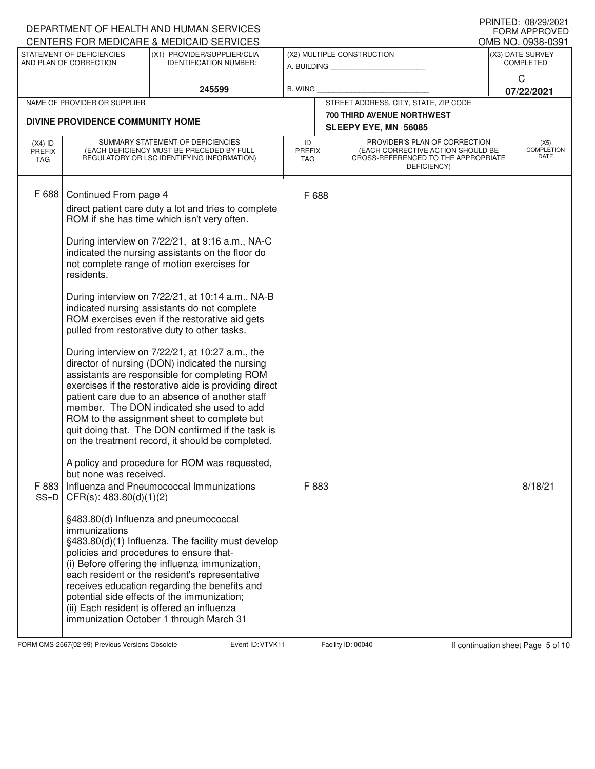|                                   |                                                                                                           | DEPARTMENT OF HEALTH AND HUMAN SERVICES<br>CENTERS FOR MEDICARE & MEDICAID SERVICES                                                                                                                                                                                                                                                                                                                                                                                                                                                                                                                                                                                                                                                                                                                                                                                                                                                                                                                                                                                          |                            |                                                                                                                          | FRIIVIEU. VOIZUIZUZI<br><b>FORM APPROVED</b><br>OMB NO. 0938-0391 |
|-----------------------------------|-----------------------------------------------------------------------------------------------------------|------------------------------------------------------------------------------------------------------------------------------------------------------------------------------------------------------------------------------------------------------------------------------------------------------------------------------------------------------------------------------------------------------------------------------------------------------------------------------------------------------------------------------------------------------------------------------------------------------------------------------------------------------------------------------------------------------------------------------------------------------------------------------------------------------------------------------------------------------------------------------------------------------------------------------------------------------------------------------------------------------------------------------------------------------------------------------|----------------------------|--------------------------------------------------------------------------------------------------------------------------|-------------------------------------------------------------------|
|                                   | STATEMENT OF DEFICIENCIES<br>AND PLAN OF CORRECTION                                                       | (X1) PROVIDER/SUPPLIER/CLIA<br><b>IDENTIFICATION NUMBER:</b>                                                                                                                                                                                                                                                                                                                                                                                                                                                                                                                                                                                                                                                                                                                                                                                                                                                                                                                                                                                                                 |                            | (X2) MULTIPLE CONSTRUCTION<br>A. BUILDING                                                                                | (X3) DATE SURVEY<br><b>COMPLETED</b>                              |
|                                   |                                                                                                           | 245599                                                                                                                                                                                                                                                                                                                                                                                                                                                                                                                                                                                                                                                                                                                                                                                                                                                                                                                                                                                                                                                                       | <b>B. WING</b>             |                                                                                                                          | C<br>07/22/2021                                                   |
|                                   | NAME OF PROVIDER OR SUPPLIER                                                                              |                                                                                                                                                                                                                                                                                                                                                                                                                                                                                                                                                                                                                                                                                                                                                                                                                                                                                                                                                                                                                                                                              |                            | STREET ADDRESS, CITY, STATE, ZIP CODE                                                                                    |                                                                   |
|                                   | DIVINE PROVIDENCE COMMUNITY HOME                                                                          |                                                                                                                                                                                                                                                                                                                                                                                                                                                                                                                                                                                                                                                                                                                                                                                                                                                                                                                                                                                                                                                                              |                            | <b>700 THIRD AVENUE NORTHWEST</b><br>SLEEPY EYE, MN 56085                                                                |                                                                   |
| $(X4)$ ID<br><b>PREFIX</b><br>TAG |                                                                                                           | SUMMARY STATEMENT OF DEFICIENCIES<br>(EACH DEFICIENCY MUST BE PRECEDED BY FULL<br>REGULATORY OR LSC IDENTIFYING INFORMATION)                                                                                                                                                                                                                                                                                                                                                                                                                                                                                                                                                                                                                                                                                                                                                                                                                                                                                                                                                 | ID<br><b>PREFIX</b><br>TAG | PROVIDER'S PLAN OF CORRECTION<br>(EACH CORRECTIVE ACTION SHOULD BE<br>CROSS-REFERENCED TO THE APPROPRIATE<br>DEFICIENCY) | (X5)<br><b>COMPLETION</b><br><b>DATE</b>                          |
| F 688<br>F 883<br>$SS=D$          | Continued From page 4<br>residents.<br>but none was received.<br>CFR(s): 483.80(d)(1)(2)<br>immunizations | direct patient care duty a lot and tries to complete<br>ROM if she has time which isn't very often.<br>During interview on 7/22/21, at 9:16 a.m., NA-C<br>indicated the nursing assistants on the floor do<br>not complete range of motion exercises for<br>During interview on 7/22/21, at 10:14 a.m., NA-B<br>indicated nursing assistants do not complete<br>ROM exercises even if the restorative aid gets<br>pulled from restorative duty to other tasks.<br>During interview on 7/22/21, at 10:27 a.m., the<br>director of nursing (DON) indicated the nursing<br>assistants are responsible for completing ROM<br>exercises if the restorative aide is providing direct<br>patient care due to an absence of another staff<br>member. The DON indicated she used to add<br>ROM to the assignment sheet to complete but<br>quit doing that. The DON confirmed if the task is<br>on the treatment record, it should be completed.<br>A policy and procedure for ROM was requested,<br>Influenza and Pneumococcal Immunizations<br>§483.80(d) Influenza and pneumococcal | F 688<br>F 883             |                                                                                                                          | 8/18/21                                                           |
|                                   |                                                                                                           | §483.80(d)(1) Influenza. The facility must develop<br>policies and procedures to ensure that-<br>(i) Before offering the influenza immunization,<br>each resident or the resident's representative<br>receives education regarding the benefits and<br>potential side effects of the immunization;<br>(ii) Each resident is offered an influenza<br>immunization October 1 through March 31                                                                                                                                                                                                                                                                                                                                                                                                                                                                                                                                                                                                                                                                                  |                            |                                                                                                                          |                                                                   |

FORM CMS-2567(02-99) Previous Versions Obsolete Variation School Event ID: VTVK11 Facility ID: 00040 If continuation sheet Page 5 of 10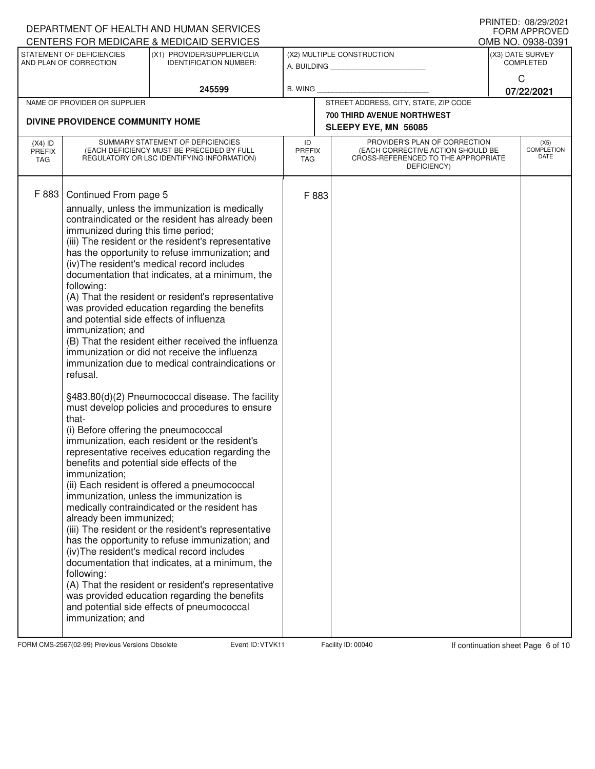|                                   |                                                                                                                                                                                                                                                                                       | DEPARTMENT OF HEALTH AND HUMAN SERVICES<br>CENTERS FOR MEDICARE & MEDICAID SERVICES                                                                                                                                                                                                                                                                                                                                                                                                                                                                                                                                                                                                                                                                                                                                                                                                                                                                                                                                                                                                                                                                                                                                                                                                                                                                     |                     |                                                                                                                          | FRIIVIEU. VOIZ 3/ZUZ I<br><b>FORM APPROVED</b><br>OMB NO. 0938-0391 |
|-----------------------------------|---------------------------------------------------------------------------------------------------------------------------------------------------------------------------------------------------------------------------------------------------------------------------------------|---------------------------------------------------------------------------------------------------------------------------------------------------------------------------------------------------------------------------------------------------------------------------------------------------------------------------------------------------------------------------------------------------------------------------------------------------------------------------------------------------------------------------------------------------------------------------------------------------------------------------------------------------------------------------------------------------------------------------------------------------------------------------------------------------------------------------------------------------------------------------------------------------------------------------------------------------------------------------------------------------------------------------------------------------------------------------------------------------------------------------------------------------------------------------------------------------------------------------------------------------------------------------------------------------------------------------------------------------------|---------------------|--------------------------------------------------------------------------------------------------------------------------|---------------------------------------------------------------------|
|                                   | STATEMENT OF DEFICIENCIES<br>AND PLAN OF CORRECTION                                                                                                                                                                                                                                   | (X1) PROVIDER/SUPPLIER/CLIA<br><b>IDENTIFICATION NUMBER:</b>                                                                                                                                                                                                                                                                                                                                                                                                                                                                                                                                                                                                                                                                                                                                                                                                                                                                                                                                                                                                                                                                                                                                                                                                                                                                                            |                     | (X2) MULTIPLE CONSTRUCTION<br>A. BUILDING                                                                                | (X3) DATE SURVEY<br><b>COMPLETED</b>                                |
|                                   |                                                                                                                                                                                                                                                                                       | 245599                                                                                                                                                                                                                                                                                                                                                                                                                                                                                                                                                                                                                                                                                                                                                                                                                                                                                                                                                                                                                                                                                                                                                                                                                                                                                                                                                  | B. WING             |                                                                                                                          | C<br>07/22/2021                                                     |
|                                   | NAME OF PROVIDER OR SUPPLIER                                                                                                                                                                                                                                                          |                                                                                                                                                                                                                                                                                                                                                                                                                                                                                                                                                                                                                                                                                                                                                                                                                                                                                                                                                                                                                                                                                                                                                                                                                                                                                                                                                         |                     | STREET ADDRESS, CITY, STATE, ZIP CODE                                                                                    |                                                                     |
|                                   | DIVINE PROVIDENCE COMMUNITY HOME                                                                                                                                                                                                                                                      |                                                                                                                                                                                                                                                                                                                                                                                                                                                                                                                                                                                                                                                                                                                                                                                                                                                                                                                                                                                                                                                                                                                                                                                                                                                                                                                                                         |                     | <b>700 THIRD AVENUE NORTHWEST</b><br>SLEEPY EYE, MN 56085                                                                |                                                                     |
| $(X4)$ ID<br><b>PREFIX</b><br>TAG |                                                                                                                                                                                                                                                                                       | SUMMARY STATEMENT OF DEFICIENCIES<br>(EACH DEFICIENCY MUST BE PRECEDED BY FULL<br>REGULATORY OR LSC IDENTIFYING INFORMATION)                                                                                                                                                                                                                                                                                                                                                                                                                                                                                                                                                                                                                                                                                                                                                                                                                                                                                                                                                                                                                                                                                                                                                                                                                            | ID<br>PREFIX<br>TAG | PROVIDER'S PLAN OF CORRECTION<br>(EACH CORRECTIVE ACTION SHOULD BE<br>CROSS-REFERENCED TO THE APPROPRIATE<br>DEFICIENCY) | (X5)<br>COMPLETION<br>DATE                                          |
| F 883                             | Continued From page 5<br>immunized during this time period;<br>following:<br>and potential side effects of influenza<br>immunization; and<br>refusal.<br>that-<br>(i) Before offering the pneumococcal<br>immunization:<br>already been immunized;<br>following:<br>immunization; and | annually, unless the immunization is medically<br>contraindicated or the resident has already been<br>(iii) The resident or the resident's representative<br>has the opportunity to refuse immunization; and<br>(iv) The resident's medical record includes<br>documentation that indicates, at a minimum, the<br>(A) That the resident or resident's representative<br>was provided education regarding the benefits<br>(B) That the resident either received the influenza<br>immunization or did not receive the influenza<br>immunization due to medical contraindications or<br>§483.80(d)(2) Pneumococcal disease. The facility<br>must develop policies and procedures to ensure<br>immunization, each resident or the resident's<br>representative receives education regarding the<br>benefits and potential side effects of the<br>(ii) Each resident is offered a pneumococcal<br>immunization, unless the immunization is<br>medically contraindicated or the resident has<br>(iii) The resident or the resident's representative<br>has the opportunity to refuse immunization; and<br>(iv) The resident's medical record includes<br>documentation that indicates, at a minimum, the<br>(A) That the resident or resident's representative<br>was provided education regarding the benefits<br>and potential side effects of pneumococcal | F 883               |                                                                                                                          |                                                                     |

FORM CMS-2567(02-99) Previous Versions Obsolete Variation School Event ID: VTVK11 Facility ID: 00040 If continuation sheet Page 6 of 10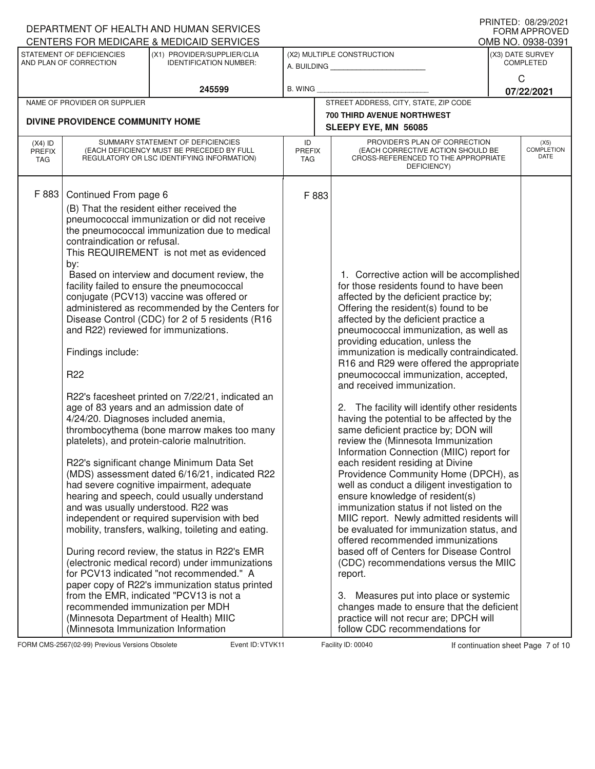|                            |                                                                                                                                                                                                                                                                                                       | DEPARTMENT OF HEALTH AND HUMAN SERVICES<br>CENTERS FOR MEDICARE & MEDICAID SERVICES                                                                                                                                                                                                                                                                                                                                                                                                                                                                                                                                                                                                                                                                                                                                                                                                                                                                                                                                                                                                                                                                                                                                         |                            |                                                                                                                                                                                                                                                                                                                                                                                                                                                                                                                                                                                                                                                                                                                                                                                                                                                                                                                                                                                                                                                                                                                                                                                                                                                                                                    | FRIIVIEU. VOIZUZUZI<br><b>FORM APPROVED</b><br>OMB NO. 0938-0391 |
|----------------------------|-------------------------------------------------------------------------------------------------------------------------------------------------------------------------------------------------------------------------------------------------------------------------------------------------------|-----------------------------------------------------------------------------------------------------------------------------------------------------------------------------------------------------------------------------------------------------------------------------------------------------------------------------------------------------------------------------------------------------------------------------------------------------------------------------------------------------------------------------------------------------------------------------------------------------------------------------------------------------------------------------------------------------------------------------------------------------------------------------------------------------------------------------------------------------------------------------------------------------------------------------------------------------------------------------------------------------------------------------------------------------------------------------------------------------------------------------------------------------------------------------------------------------------------------------|----------------------------|----------------------------------------------------------------------------------------------------------------------------------------------------------------------------------------------------------------------------------------------------------------------------------------------------------------------------------------------------------------------------------------------------------------------------------------------------------------------------------------------------------------------------------------------------------------------------------------------------------------------------------------------------------------------------------------------------------------------------------------------------------------------------------------------------------------------------------------------------------------------------------------------------------------------------------------------------------------------------------------------------------------------------------------------------------------------------------------------------------------------------------------------------------------------------------------------------------------------------------------------------------------------------------------------------|------------------------------------------------------------------|
|                            | STATEMENT OF DEFICIENCIES<br>AND PLAN OF CORRECTION                                                                                                                                                                                                                                                   | (X1) PROVIDER/SUPPLIER/CLIA<br><b>IDENTIFICATION NUMBER:</b>                                                                                                                                                                                                                                                                                                                                                                                                                                                                                                                                                                                                                                                                                                                                                                                                                                                                                                                                                                                                                                                                                                                                                                |                            | (X2) MULTIPLE CONSTRUCTION<br>A. BUILDING <b>A.</b> BUILDING                                                                                                                                                                                                                                                                                                                                                                                                                                                                                                                                                                                                                                                                                                                                                                                                                                                                                                                                                                                                                                                                                                                                                                                                                                       | (X3) DATE SURVEY<br><b>COMPLETED</b>                             |
|                            |                                                                                                                                                                                                                                                                                                       | 245599                                                                                                                                                                                                                                                                                                                                                                                                                                                                                                                                                                                                                                                                                                                                                                                                                                                                                                                                                                                                                                                                                                                                                                                                                      | B. WING                    |                                                                                                                                                                                                                                                                                                                                                                                                                                                                                                                                                                                                                                                                                                                                                                                                                                                                                                                                                                                                                                                                                                                                                                                                                                                                                                    | C<br>07/22/2021                                                  |
|                            | NAME OF PROVIDER OR SUPPLIER                                                                                                                                                                                                                                                                          |                                                                                                                                                                                                                                                                                                                                                                                                                                                                                                                                                                                                                                                                                                                                                                                                                                                                                                                                                                                                                                                                                                                                                                                                                             |                            | STREET ADDRESS, CITY, STATE, ZIP CODE                                                                                                                                                                                                                                                                                                                                                                                                                                                                                                                                                                                                                                                                                                                                                                                                                                                                                                                                                                                                                                                                                                                                                                                                                                                              |                                                                  |
|                            |                                                                                                                                                                                                                                                                                                       |                                                                                                                                                                                                                                                                                                                                                                                                                                                                                                                                                                                                                                                                                                                                                                                                                                                                                                                                                                                                                                                                                                                                                                                                                             |                            | <b>700 THIRD AVENUE NORTHWEST</b>                                                                                                                                                                                                                                                                                                                                                                                                                                                                                                                                                                                                                                                                                                                                                                                                                                                                                                                                                                                                                                                                                                                                                                                                                                                                  |                                                                  |
|                            | DIVINE PROVIDENCE COMMUNITY HOME                                                                                                                                                                                                                                                                      |                                                                                                                                                                                                                                                                                                                                                                                                                                                                                                                                                                                                                                                                                                                                                                                                                                                                                                                                                                                                                                                                                                                                                                                                                             |                            | SLEEPY EYE, MN 56085                                                                                                                                                                                                                                                                                                                                                                                                                                                                                                                                                                                                                                                                                                                                                                                                                                                                                                                                                                                                                                                                                                                                                                                                                                                                               |                                                                  |
| $(X4)$ ID<br>PREFIX<br>TAG |                                                                                                                                                                                                                                                                                                       | SUMMARY STATEMENT OF DEFICIENCIES<br>(EACH DEFICIENCY MUST BE PRECEDED BY FULL<br>REGULATORY OR LSC IDENTIFYING INFORMATION)                                                                                                                                                                                                                                                                                                                                                                                                                                                                                                                                                                                                                                                                                                                                                                                                                                                                                                                                                                                                                                                                                                | ID<br><b>PREFIX</b><br>TAG | PROVIDER'S PLAN OF CORRECTION<br>(EACH CORRECTIVE ACTION SHOULD BE<br>CROSS-REFERENCED TO THE APPROPRIATE<br>DEFICIENCY)                                                                                                                                                                                                                                                                                                                                                                                                                                                                                                                                                                                                                                                                                                                                                                                                                                                                                                                                                                                                                                                                                                                                                                           | (X5)<br><b>COMPLETION</b><br>DATE                                |
| F 883                      | Continued From page 6<br>contraindication or refusal.<br>by:<br>and R22) reviewed for immunizations.<br>Findings include:<br>R <sub>22</sub><br>4/24/20. Diagnoses included anemia,<br>and was usually understood. R22 was<br>recommended immunization per MDH<br>(Minnesota Immunization Information | (B) That the resident either received the<br>pneumococcal immunization or did not receive<br>the pneumococcal immunization due to medical<br>This REQUIREMENT is not met as evidenced<br>Based on interview and document review, the<br>facility failed to ensure the pneumococcal<br>conjugate (PCV13) vaccine was offered or<br>administered as recommended by the Centers for<br>Disease Control (CDC) for 2 of 5 residents (R16<br>R22's facesheet printed on 7/22/21, indicated an<br>age of 83 years and an admission date of<br>thrombocythema (bone marrow makes too many<br>platelets), and protein-calorie malnutrition.<br>R22's significant change Minimum Data Set<br>(MDS) assessment dated 6/16/21, indicated R22<br>had severe cognitive impairment, adequate<br>hearing and speech, could usually understand<br>independent or required supervision with bed<br>mobility, transfers, walking, toileting and eating.<br>During record review, the status in R22's EMR<br>(electronic medical record) under immunizations<br>for PCV13 indicated "not recommended." A<br>paper copy of R22's immunization status printed<br>from the EMR, indicated "PCV13 is not a<br>(Minnesota Department of Health) MIIC | F 883                      | 1. Corrective action will be accomplished<br>for those residents found to have been<br>affected by the deficient practice by;<br>Offering the resident(s) found to be<br>affected by the deficient practice a<br>pneumococcal immunization, as well as<br>providing education, unless the<br>immunization is medically contraindicated.<br>R16 and R29 were offered the appropriate<br>pneumococcal immunization, accepted,<br>and received immunization.<br>2. The facility will identify other residents<br>having the potential to be affected by the<br>same deficient practice by; DON will<br>review the (Minnesota Immunization<br>Information Connection (MIIC) report for<br>each resident residing at Divine<br>Providence Community Home (DPCH), as<br>well as conduct a diligent investigation to<br>ensure knowledge of resident(s)<br>immunization status if not listed on the<br>MIIC report. Newly admitted residents will<br>be evaluated for immunization status, and<br>offered recommended immunizations<br>based off of Centers for Disease Control<br>(CDC) recommendations versus the MIIC<br>report.<br>Measures put into place or systemic<br>З.<br>changes made to ensure that the deficient<br>practice will not recur are; DPCH will<br>follow CDC recommendations for |                                                                  |

FORM CMS-2567(02-99) Previous Versions Obsolete Variation Sheet Page 7 of 10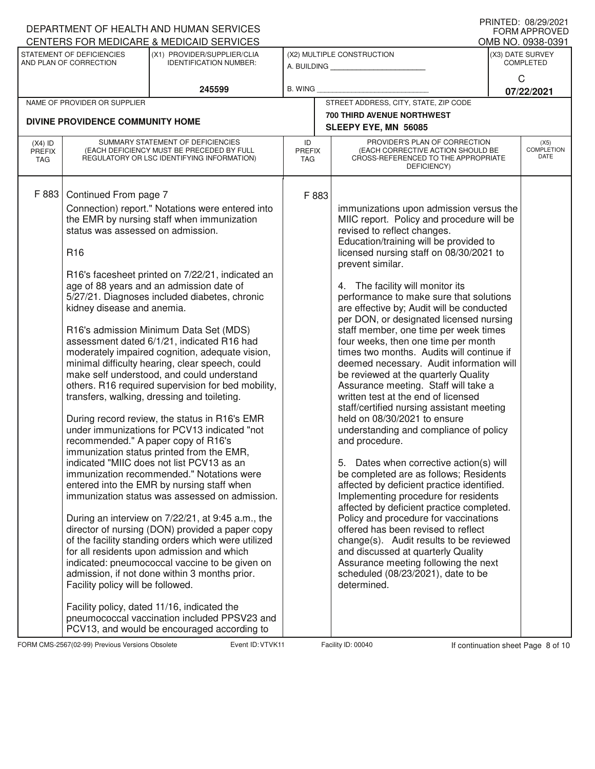|                                          |                                                                                                                                                                                         | DEPARTMENT OF HEALTH AND HUMAN SERVICES                                                                                                                                                                                                                                                                                                                                                                                                                                                                                                                                                                                                                                                                                                                                                                                                                                                                                                                                                                                                                                                                                                                                                                                                                                                                 |                                   |       |                                                                                                                                                                                                                                                                                                                                                                                                                                                                                                                                                                                                                                                                                                                                                                                                                                                                                                                                                                                                                                                                                                                                                                                                                                                                                                                                    | I IUINILLY. VOILJILVLI<br><b>FORM APPROVED</b> |
|------------------------------------------|-----------------------------------------------------------------------------------------------------------------------------------------------------------------------------------------|---------------------------------------------------------------------------------------------------------------------------------------------------------------------------------------------------------------------------------------------------------------------------------------------------------------------------------------------------------------------------------------------------------------------------------------------------------------------------------------------------------------------------------------------------------------------------------------------------------------------------------------------------------------------------------------------------------------------------------------------------------------------------------------------------------------------------------------------------------------------------------------------------------------------------------------------------------------------------------------------------------------------------------------------------------------------------------------------------------------------------------------------------------------------------------------------------------------------------------------------------------------------------------------------------------|-----------------------------------|-------|------------------------------------------------------------------------------------------------------------------------------------------------------------------------------------------------------------------------------------------------------------------------------------------------------------------------------------------------------------------------------------------------------------------------------------------------------------------------------------------------------------------------------------------------------------------------------------------------------------------------------------------------------------------------------------------------------------------------------------------------------------------------------------------------------------------------------------------------------------------------------------------------------------------------------------------------------------------------------------------------------------------------------------------------------------------------------------------------------------------------------------------------------------------------------------------------------------------------------------------------------------------------------------------------------------------------------------|------------------------------------------------|
|                                          |                                                                                                                                                                                         | CENTERS FOR MEDICARE & MEDICAID SERVICES                                                                                                                                                                                                                                                                                                                                                                                                                                                                                                                                                                                                                                                                                                                                                                                                                                                                                                                                                                                                                                                                                                                                                                                                                                                                |                                   |       |                                                                                                                                                                                                                                                                                                                                                                                                                                                                                                                                                                                                                                                                                                                                                                                                                                                                                                                                                                                                                                                                                                                                                                                                                                                                                                                                    | OMB NO. 0938-0391                              |
|                                          | STATEMENT OF DEFICIENCIES<br>AND PLAN OF CORRECTION                                                                                                                                     | (X1) PROVIDER/SUPPLIER/CLIA<br><b>IDENTIFICATION NUMBER:</b>                                                                                                                                                                                                                                                                                                                                                                                                                                                                                                                                                                                                                                                                                                                                                                                                                                                                                                                                                                                                                                                                                                                                                                                                                                            |                                   |       | (X2) MULTIPLE CONSTRUCTION<br>A. BUILDING <b>A. BUILDING</b>                                                                                                                                                                                                                                                                                                                                                                                                                                                                                                                                                                                                                                                                                                                                                                                                                                                                                                                                                                                                                                                                                                                                                                                                                                                                       | (X3) DATE SURVEY<br><b>COMPLETED</b>           |
|                                          |                                                                                                                                                                                         | 245599                                                                                                                                                                                                                                                                                                                                                                                                                                                                                                                                                                                                                                                                                                                                                                                                                                                                                                                                                                                                                                                                                                                                                                                                                                                                                                  | <b>B. WING</b>                    |       |                                                                                                                                                                                                                                                                                                                                                                                                                                                                                                                                                                                                                                                                                                                                                                                                                                                                                                                                                                                                                                                                                                                                                                                                                                                                                                                                    | C<br>07/22/2021                                |
|                                          | NAME OF PROVIDER OR SUPPLIER                                                                                                                                                            |                                                                                                                                                                                                                                                                                                                                                                                                                                                                                                                                                                                                                                                                                                                                                                                                                                                                                                                                                                                                                                                                                                                                                                                                                                                                                                         |                                   |       | STREET ADDRESS, CITY, STATE, ZIP CODE                                                                                                                                                                                                                                                                                                                                                                                                                                                                                                                                                                                                                                                                                                                                                                                                                                                                                                                                                                                                                                                                                                                                                                                                                                                                                              |                                                |
|                                          |                                                                                                                                                                                         |                                                                                                                                                                                                                                                                                                                                                                                                                                                                                                                                                                                                                                                                                                                                                                                                                                                                                                                                                                                                                                                                                                                                                                                                                                                                                                         |                                   |       | 700 THIRD AVENUE NORTHWEST                                                                                                                                                                                                                                                                                                                                                                                                                                                                                                                                                                                                                                                                                                                                                                                                                                                                                                                                                                                                                                                                                                                                                                                                                                                                                                         |                                                |
|                                          | DIVINE PROVIDENCE COMMUNITY HOME                                                                                                                                                        |                                                                                                                                                                                                                                                                                                                                                                                                                                                                                                                                                                                                                                                                                                                                                                                                                                                                                                                                                                                                                                                                                                                                                                                                                                                                                                         |                                   |       | SLEEPY EYE, MN 56085                                                                                                                                                                                                                                                                                                                                                                                                                                                                                                                                                                                                                                                                                                                                                                                                                                                                                                                                                                                                                                                                                                                                                                                                                                                                                                               |                                                |
| $(X4)$ ID<br><b>PREFIX</b><br><b>TAG</b> |                                                                                                                                                                                         | SUMMARY STATEMENT OF DEFICIENCIES<br>(EACH DEFICIENCY MUST BE PRECEDED BY FULL<br>REGULATORY OR LSC IDENTIFYING INFORMATION)                                                                                                                                                                                                                                                                                                                                                                                                                                                                                                                                                                                                                                                                                                                                                                                                                                                                                                                                                                                                                                                                                                                                                                            | ID<br><b>PREFIX</b><br><b>TAG</b> |       | PROVIDER'S PLAN OF CORRECTION<br>(EACH CORRECTIVE ACTION SHOULD BE<br>CROSS-REFERENCED TO THE APPROPRIATE<br>DEFICIENCY)                                                                                                                                                                                                                                                                                                                                                                                                                                                                                                                                                                                                                                                                                                                                                                                                                                                                                                                                                                                                                                                                                                                                                                                                           | (X5)<br><b>COMPLETION</b><br>DATE              |
| F 883                                    | Continued From page 7<br>status was assessed on admission.<br>R <sub>16</sub><br>kidney disease and anemia.<br>recommended." A paper copy of R16's<br>Facility policy will be followed. | Connection) report." Notations were entered into<br>the EMR by nursing staff when immunization<br>R16's facesheet printed on 7/22/21, indicated an<br>age of 88 years and an admission date of<br>5/27/21. Diagnoses included diabetes, chronic<br>R16's admission Minimum Data Set (MDS)<br>assessment dated 6/1/21, indicated R16 had<br>moderately impaired cognition, adequate vision,<br>minimal difficulty hearing, clear speech, could<br>make self understood, and could understand<br>others. R16 required supervision for bed mobility,<br>transfers, walking, dressing and toileting.<br>During record review, the status in R16's EMR<br>under immunizations for PCV13 indicated "not<br>immunization status printed from the EMR,<br>indicated "MIIC does not list PCV13 as an<br>immunization recommended." Notations were<br>entered into the EMR by nursing staff when<br>immunization status was assessed on admission.<br>During an interview on 7/22/21, at 9:45 a.m., the<br>director of nursing (DON) provided a paper copy<br>of the facility standing orders which were utilized<br>for all residents upon admission and which<br>indicated: pneumococcal vaccine to be given on<br>admission, if not done within 3 months prior.<br>Facility policy, dated 11/16, indicated the |                                   | F 883 | immunizations upon admission versus the<br>MIIC report. Policy and procedure will be<br>revised to reflect changes.<br>Education/training will be provided to<br>licensed nursing staff on 08/30/2021 to<br>prevent similar.<br>4. The facility will monitor its<br>performance to make sure that solutions<br>are effective by; Audit will be conducted<br>per DON, or designated licensed nursing<br>staff member, one time per week times<br>four weeks, then one time per month<br>times two months. Audits will continue if<br>deemed necessary. Audit information will<br>be reviewed at the quarterly Quality<br>Assurance meeting. Staff will take a<br>written test at the end of licensed<br>staff/certified nursing assistant meeting<br>held on 08/30/2021 to ensure<br>understanding and compliance of policy<br>and procedure.<br>5. Dates when corrective action(s) will<br>be completed are as follows; Residents<br>affected by deficient practice identified.<br>Implementing procedure for residents<br>affected by deficient practice completed.<br>Policy and procedure for vaccinations<br>offered has been revised to reflect<br>change(s). Audit results to be reviewed<br>and discussed at quarterly Quality<br>Assurance meeting following the next<br>scheduled (08/23/2021), date to be<br>determined. |                                                |
|                                          |                                                                                                                                                                                         | pneumococcal vaccination included PPSV23 and<br>PCV13, and would be encouraged according to                                                                                                                                                                                                                                                                                                                                                                                                                                                                                                                                                                                                                                                                                                                                                                                                                                                                                                                                                                                                                                                                                                                                                                                                             |                                   |       |                                                                                                                                                                                                                                                                                                                                                                                                                                                                                                                                                                                                                                                                                                                                                                                                                                                                                                                                                                                                                                                                                                                                                                                                                                                                                                                                    |                                                |

FORM CMS-2567(02-99) Previous Versions Obsolete Variation School Event ID: VTVK11 Facility ID: 00040 If continuation sheet Page 8 of 10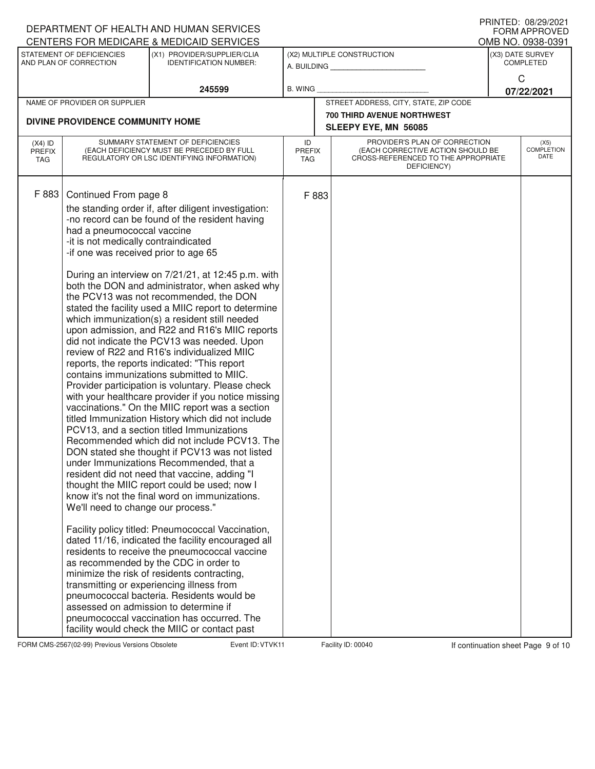|                                   |                                                                                                                                                                           | DEPARTMENT OF HEALTH AND HUMAN SERVICES<br>CENTERS FOR MEDICARE & MEDICAID SERVICES                                                                                                                                                                                                                                                                                                                                                                                                                                                                                                                                                                                                                                                                                                                                                                                                                                                                                                                                                                                                                                                                                                                                                                                                                                                                                                                                                                                                                                                                                                                                                                                  |                            |                                                                                                                          |                                      | FRINIED. VOZYZUZI<br><b>FORM APPROVED</b><br>OMB NO. 0938-0391 |  |
|-----------------------------------|---------------------------------------------------------------------------------------------------------------------------------------------------------------------------|----------------------------------------------------------------------------------------------------------------------------------------------------------------------------------------------------------------------------------------------------------------------------------------------------------------------------------------------------------------------------------------------------------------------------------------------------------------------------------------------------------------------------------------------------------------------------------------------------------------------------------------------------------------------------------------------------------------------------------------------------------------------------------------------------------------------------------------------------------------------------------------------------------------------------------------------------------------------------------------------------------------------------------------------------------------------------------------------------------------------------------------------------------------------------------------------------------------------------------------------------------------------------------------------------------------------------------------------------------------------------------------------------------------------------------------------------------------------------------------------------------------------------------------------------------------------------------------------------------------------------------------------------------------------|----------------------------|--------------------------------------------------------------------------------------------------------------------------|--------------------------------------|----------------------------------------------------------------|--|
|                                   | STATEMENT OF DEFICIENCIES<br>AND PLAN OF CORRECTION                                                                                                                       | (X1) PROVIDER/SUPPLIER/CLIA<br><b>IDENTIFICATION NUMBER:</b>                                                                                                                                                                                                                                                                                                                                                                                                                                                                                                                                                                                                                                                                                                                                                                                                                                                                                                                                                                                                                                                                                                                                                                                                                                                                                                                                                                                                                                                                                                                                                                                                         |                            | (X2) MULTIPLE CONSTRUCTION<br>A. BUILDING                                                                                | (X3) DATE SURVEY<br><b>COMPLETED</b> |                                                                |  |
|                                   |                                                                                                                                                                           | 245599                                                                                                                                                                                                                                                                                                                                                                                                                                                                                                                                                                                                                                                                                                                                                                                                                                                                                                                                                                                                                                                                                                                                                                                                                                                                                                                                                                                                                                                                                                                                                                                                                                                               | <b>B. WING</b>             |                                                                                                                          |                                      | C<br>07/22/2021                                                |  |
|                                   | NAME OF PROVIDER OR SUPPLIER                                                                                                                                              |                                                                                                                                                                                                                                                                                                                                                                                                                                                                                                                                                                                                                                                                                                                                                                                                                                                                                                                                                                                                                                                                                                                                                                                                                                                                                                                                                                                                                                                                                                                                                                                                                                                                      |                            | STREET ADDRESS, CITY, STATE, ZIP CODE                                                                                    |                                      |                                                                |  |
| DIVINE PROVIDENCE COMMUNITY HOME  |                                                                                                                                                                           |                                                                                                                                                                                                                                                                                                                                                                                                                                                                                                                                                                                                                                                                                                                                                                                                                                                                                                                                                                                                                                                                                                                                                                                                                                                                                                                                                                                                                                                                                                                                                                                                                                                                      |                            | <b>700 THIRD AVENUE NORTHWEST</b><br>SLEEPY EYE, MN 56085                                                                |                                      |                                                                |  |
| $(X4)$ ID<br><b>PREFIX</b><br>TAG |                                                                                                                                                                           | SUMMARY STATEMENT OF DEFICIENCIES<br>(EACH DEFICIENCY MUST BE PRECEDED BY FULL<br>REGULATORY OR LSC IDENTIFYING INFORMATION)                                                                                                                                                                                                                                                                                                                                                                                                                                                                                                                                                                                                                                                                                                                                                                                                                                                                                                                                                                                                                                                                                                                                                                                                                                                                                                                                                                                                                                                                                                                                         | ID<br><b>PREFIX</b><br>TAG | PROVIDER'S PLAN OF CORRECTION<br>(EACH CORRECTIVE ACTION SHOULD BE<br>CROSS-REFERENCED TO THE APPROPRIATE<br>DEFICIENCY) |                                      | (X5)<br>COMPLETION<br>DATE                                     |  |
| F 883                             | Continued From page 8<br>had a pneumococcal vaccine<br>-it is not medically contraindicated<br>-if one was received prior to age 65<br>We'll need to change our process." | the standing order if, after diligent investigation:<br>-no record can be found of the resident having<br>During an interview on 7/21/21, at 12:45 p.m. with<br>both the DON and administrator, when asked why<br>the PCV13 was not recommended, the DON<br>stated the facility used a MIIC report to determine<br>which immunization(s) a resident still needed<br>upon admission, and R22 and R16's MIIC reports<br>did not indicate the PCV13 was needed. Upon<br>review of R22 and R16's individualized MIIC<br>reports, the reports indicated: "This report<br>contains immunizations submitted to MIIC.<br>Provider participation is voluntary. Please check<br>with your healthcare provider if you notice missing<br>vaccinations." On the MIIC report was a section<br>titled Immunization History which did not include<br>PCV13, and a section titled Immunizations<br>Recommended which did not include PCV13. The<br>DON stated she thought if PCV13 was not listed<br>under Immunizations Recommended, that a<br>resident did not need that vaccine, adding "I<br>thought the MIIC report could be used; now I<br>know it's not the final word on immunizations.<br>Facility policy titled: Pneumococcal Vaccination,<br>dated 11/16, indicated the facility encouraged all<br>residents to receive the pneumococcal vaccine<br>as recommended by the CDC in order to<br>minimize the risk of residents contracting,<br>transmitting or experiencing illness from<br>pneumococcal bacteria. Residents would be<br>assessed on admission to determine if<br>pneumococcal vaccination has occurred. The<br>facility would check the MIIC or contact past | F 883                      |                                                                                                                          |                                      |                                                                |  |

FORM CMS-2567(02-99) Previous Versions Obsolete Variation School Event ID: VTVK11 Facility ID: 00040 If continuation sheet Page 9 of 10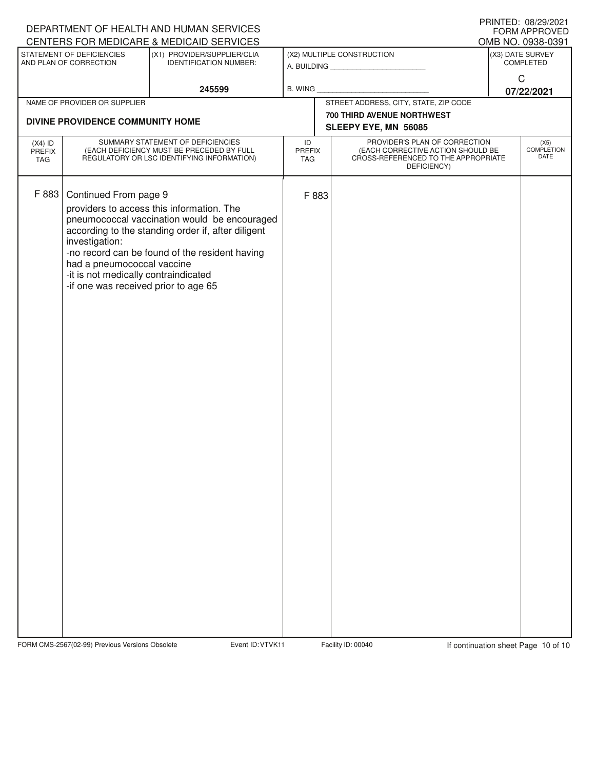|                            |                                                                                                                                                       | DEPARTMENT OF HEALTH AND HUMAN SERVICES                                                                                                                                                           |                            |       |                                                                                                                          | FORM APPROVED                     |
|----------------------------|-------------------------------------------------------------------------------------------------------------------------------------------------------|---------------------------------------------------------------------------------------------------------------------------------------------------------------------------------------------------|----------------------------|-------|--------------------------------------------------------------------------------------------------------------------------|-----------------------------------|
|                            |                                                                                                                                                       | CENTERS FOR MEDICARE & MEDICAID SERVICES                                                                                                                                                          |                            |       |                                                                                                                          | OMB NO. 0938-0391                 |
|                            | STATEMENT OF DEFICIENCIES<br>AND PLAN OF CORRECTION                                                                                                   | (X1) PROVIDER/SUPPLIER/CLIA<br><b>IDENTIFICATION NUMBER:</b>                                                                                                                                      |                            |       | (X2) MULTIPLE CONSTRUCTION<br>A. BUILDING <b>A.</b> BUILDING                                                             | (X3) DATE SURVEY<br>COMPLETED     |
|                            |                                                                                                                                                       | 245599                                                                                                                                                                                            | <b>B. WING</b>             |       |                                                                                                                          | $\mathsf C$<br>07/22/2021         |
|                            | NAME OF PROVIDER OR SUPPLIER                                                                                                                          |                                                                                                                                                                                                   |                            |       | STREET ADDRESS, CITY, STATE, ZIP CODE                                                                                    |                                   |
|                            |                                                                                                                                                       |                                                                                                                                                                                                   |                            |       | 700 THIRD AVENUE NORTHWEST                                                                                               |                                   |
|                            | DIVINE PROVIDENCE COMMUNITY HOME                                                                                                                      |                                                                                                                                                                                                   |                            |       | SLEEPY EYE, MN 56085                                                                                                     |                                   |
| $(X4)$ ID<br>PREFIX<br>TAG |                                                                                                                                                       | SUMMARY STATEMENT OF DEFICIENCIES<br>(EACH DEFICIENCY MUST BE PRECEDED BY FULL<br>REGULATORY OR LSC IDENTIFYING INFORMATION)                                                                      | ID<br>PREFIX<br><b>TAG</b> |       | PROVIDER'S PLAN OF CORRECTION<br>(EACH CORRECTIVE ACTION SHOULD BE<br>CROSS-REFERENCED TO THE APPROPRIATE<br>DEFICIENCY) | (X5)<br><b>COMPLETION</b><br>DATE |
| F 883                      | Continued From page 9<br>investigation:<br>had a pneumococcal vaccine<br>-it is not medically contraindicated<br>-if one was received prior to age 65 | providers to access this information. The<br>pneumococcal vaccination would be encouraged<br>according to the standing order if, after diligent<br>-no record can be found of the resident having |                            | F 883 |                                                                                                                          |                                   |

FORM CMS-2567(02-99) Previous Versions Obsolete Variation School Event ID: VTVK11 Facility ID: 00040 If continuation sheet Page 10 of 10

DEPARTMENT OF HEALTH AND HUMAN SERVICES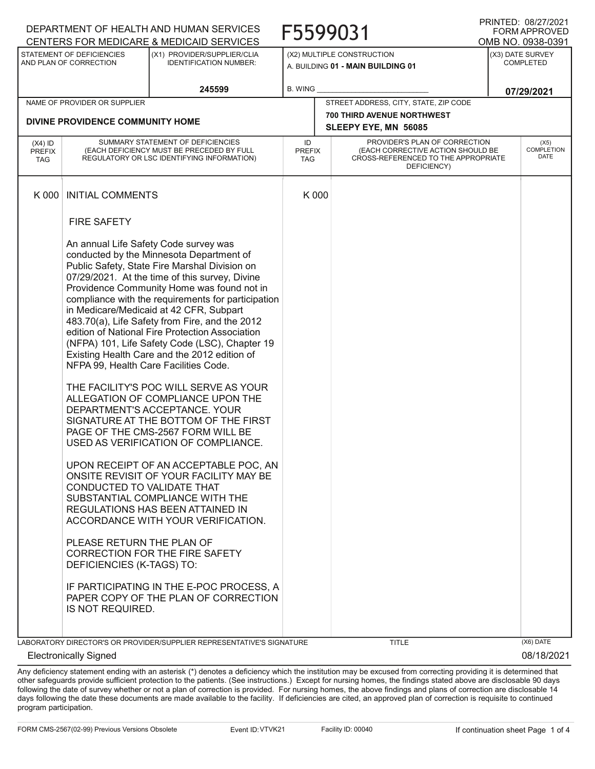|                                          |                                                                                                                                                   | DEPARTMENT OF HEALTH AND HUMAN SERVICES                                                                                                                                                                                                                                                                                                                                                                                                                                                                                                                                                                                                                                                                                                                                                                                                                                                                                                                                                                                                                                                             |                            |       | F5599031                                                                                                                 |                                      | FRINTED. VOIZIIZUZT<br><b>FORM APPROVED</b> |
|------------------------------------------|---------------------------------------------------------------------------------------------------------------------------------------------------|-----------------------------------------------------------------------------------------------------------------------------------------------------------------------------------------------------------------------------------------------------------------------------------------------------------------------------------------------------------------------------------------------------------------------------------------------------------------------------------------------------------------------------------------------------------------------------------------------------------------------------------------------------------------------------------------------------------------------------------------------------------------------------------------------------------------------------------------------------------------------------------------------------------------------------------------------------------------------------------------------------------------------------------------------------------------------------------------------------|----------------------------|-------|--------------------------------------------------------------------------------------------------------------------------|--------------------------------------|---------------------------------------------|
|                                          |                                                                                                                                                   | CENTERS FOR MEDICARE & MEDICAID SERVICES                                                                                                                                                                                                                                                                                                                                                                                                                                                                                                                                                                                                                                                                                                                                                                                                                                                                                                                                                                                                                                                            |                            |       |                                                                                                                          |                                      | OMB NO. 0938-0391                           |
|                                          | STATEMENT OF DEFICIENCIES<br>AND PLAN OF CORRECTION                                                                                               | (X1) PROVIDER/SUPPLIER/CLIA<br><b>IDENTIFICATION NUMBER:</b>                                                                                                                                                                                                                                                                                                                                                                                                                                                                                                                                                                                                                                                                                                                                                                                                                                                                                                                                                                                                                                        |                            |       | (X2) MULTIPLE CONSTRUCTION<br>A. BUILDING 01 - MAIN BUILDING 01                                                          | (X3) DATE SURVEY<br><b>COMPLETED</b> |                                             |
|                                          |                                                                                                                                                   | 245599                                                                                                                                                                                                                                                                                                                                                                                                                                                                                                                                                                                                                                                                                                                                                                                                                                                                                                                                                                                                                                                                                              | <b>B. WING</b>             |       |                                                                                                                          |                                      | 07/29/2021                                  |
|                                          | NAME OF PROVIDER OR SUPPLIER                                                                                                                      |                                                                                                                                                                                                                                                                                                                                                                                                                                                                                                                                                                                                                                                                                                                                                                                                                                                                                                                                                                                                                                                                                                     |                            |       | STREET ADDRESS, CITY, STATE, ZIP CODE                                                                                    |                                      |                                             |
|                                          | DIVINE PROVIDENCE COMMUNITY HOME                                                                                                                  |                                                                                                                                                                                                                                                                                                                                                                                                                                                                                                                                                                                                                                                                                                                                                                                                                                                                                                                                                                                                                                                                                                     |                            |       | <b>700 THIRD AVENUE NORTHWEST</b><br>SLEEPY EYE, MN 56085                                                                |                                      |                                             |
| $(X4)$ ID<br><b>PREFIX</b><br><b>TAG</b> |                                                                                                                                                   | SUMMARY STATEMENT OF DEFICIENCIES<br>(EACH DEFICIENCY MUST BE PRECEDED BY FULL<br>REGULATORY OR LSC IDENTIFYING INFORMATION)                                                                                                                                                                                                                                                                                                                                                                                                                                                                                                                                                                                                                                                                                                                                                                                                                                                                                                                                                                        | ID<br><b>PREFIX</b><br>TAG |       | PROVIDER'S PLAN OF CORRECTION<br>(EACH CORRECTIVE ACTION SHOULD BE<br>CROSS-REFERENCED TO THE APPROPRIATE<br>DEFICIENCY) |                                      | (X5)<br><b>COMPLETION</b><br>DATE           |
| K 000                                    | <b>INITIAL COMMENTS</b>                                                                                                                           |                                                                                                                                                                                                                                                                                                                                                                                                                                                                                                                                                                                                                                                                                                                                                                                                                                                                                                                                                                                                                                                                                                     |                            | K 000 |                                                                                                                          |                                      |                                             |
|                                          | <b>FIRE SAFETY</b>                                                                                                                                |                                                                                                                                                                                                                                                                                                                                                                                                                                                                                                                                                                                                                                                                                                                                                                                                                                                                                                                                                                                                                                                                                                     |                            |       |                                                                                                                          |                                      |                                             |
|                                          | NFPA 99, Health Care Facilities Code.<br>CONDUCTED TO VALIDATE THAT<br>PLEASE RETURN THE PLAN OF<br>DEFICIENCIES (K-TAGS) TO:<br>IS NOT REQUIRED. | An annual Life Safety Code survey was<br>conducted by the Minnesota Department of<br>Public Safety, State Fire Marshal Division on<br>07/29/2021. At the time of this survey, Divine<br>Providence Community Home was found not in<br>compliance with the requirements for participation<br>in Medicare/Medicaid at 42 CFR, Subpart<br>483.70(a), Life Safety from Fire, and the 2012<br>edition of National Fire Protection Association<br>(NFPA) 101, Life Safety Code (LSC), Chapter 19<br>Existing Health Care and the 2012 edition of<br>THE FACILITY'S POC WILL SERVE AS YOUR<br>ALLEGATION OF COMPLIANCE UPON THE<br>DEPARTMENT'S ACCEPTANCE, YOUR<br>SIGNATURE AT THE BOTTOM OF THE FIRST<br>PAGE OF THE CMS-2567 FORM WILL BE<br>USED AS VERIFICATION OF COMPLIANCE.<br>UPON RECEIPT OF AN ACCEPTABLE POC, AN<br>ONSITE REVISIT OF YOUR FACILITY MAY BE<br>SUBSTANTIAL COMPLIANCE WITH THE<br>REGULATIONS HAS BEEN ATTAINED IN<br>ACCORDANCE WITH YOUR VERIFICATION.<br>CORRECTION FOR THE FIRE SAFETY<br>IF PARTICIPATING IN THE E-POC PROCESS, A<br>PAPER COPY OF THE PLAN OF CORRECTION |                            |       |                                                                                                                          |                                      |                                             |
|                                          |                                                                                                                                                   | LABORATORY DIRECTOR'S OR PROVIDER/SUPPLIER REPRESENTATIVE'S SIGNATURE                                                                                                                                                                                                                                                                                                                                                                                                                                                                                                                                                                                                                                                                                                                                                                                                                                                                                                                                                                                                                               |                            |       | <b>TITLE</b>                                                                                                             |                                      | (X6) DATE                                   |
|                                          | <b>Electronically Signed</b>                                                                                                                      |                                                                                                                                                                                                                                                                                                                                                                                                                                                                                                                                                                                                                                                                                                                                                                                                                                                                                                                                                                                                                                                                                                     |                            |       |                                                                                                                          |                                      | 08/18/2021                                  |

Any deficiency statement ending with an asterisk (\*) denotes a deficiency which the institution may be excused from correcting providing it is determined that other safeguards provide sufficient protection to the patients. (See instructions.) Except for nursing homes, the findings stated above are disclosable 90 days following the date of survey whether or not a plan of correction is provided. For nursing homes, the above findings and plans of correction are disclosable 14 days following the date these documents are made available to the facility. If deficiencies are cited, an approved plan of correction is requisite to continued program participation.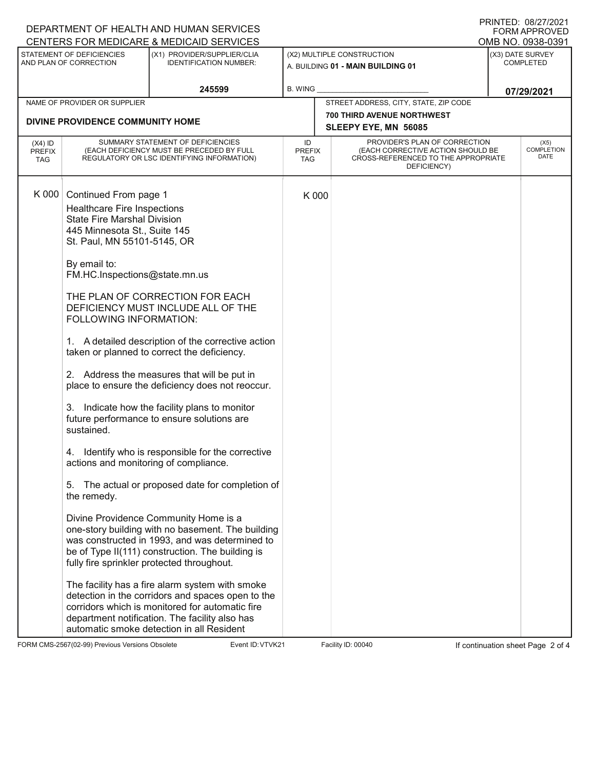|                                                                                                                                                                                                                                                              | DEPARTMENT OF HEALTH AND HUMAN SERVICES<br>CENTERS FOR MEDICARE & MEDICAID SERVICES                                                                                                                                                                                                                                                                                                                                                                                                                                                                                                                                                                                                                                                                                                                                                                                                                                                                                                                                                                                   |                            |       | <b>PRINTED: 08/2//2021</b><br><b>FORM APPROVED</b>                                                                       |                                       |                                   |
|--------------------------------------------------------------------------------------------------------------------------------------------------------------------------------------------------------------------------------------------------------------|-----------------------------------------------------------------------------------------------------------------------------------------------------------------------------------------------------------------------------------------------------------------------------------------------------------------------------------------------------------------------------------------------------------------------------------------------------------------------------------------------------------------------------------------------------------------------------------------------------------------------------------------------------------------------------------------------------------------------------------------------------------------------------------------------------------------------------------------------------------------------------------------------------------------------------------------------------------------------------------------------------------------------------------------------------------------------|----------------------------|-------|--------------------------------------------------------------------------------------------------------------------------|---------------------------------------|-----------------------------------|
| STATEMENT OF DEFICIENCIES                                                                                                                                                                                                                                    | (X1) PROVIDER/SUPPLIER/CLIA                                                                                                                                                                                                                                                                                                                                                                                                                                                                                                                                                                                                                                                                                                                                                                                                                                                                                                                                                                                                                                           |                            |       | (X2) MULTIPLE CONSTRUCTION                                                                                               | OMB NO. 0938-0391<br>(X3) DATE SURVEY |                                   |
| AND PLAN OF CORRECTION                                                                                                                                                                                                                                       | <b>IDENTIFICATION NUMBER:</b>                                                                                                                                                                                                                                                                                                                                                                                                                                                                                                                                                                                                                                                                                                                                                                                                                                                                                                                                                                                                                                         |                            |       | A. BUILDING 01 - MAIN BUILDING 01                                                                                        | <b>COMPLETED</b>                      |                                   |
|                                                                                                                                                                                                                                                              | 245599                                                                                                                                                                                                                                                                                                                                                                                                                                                                                                                                                                                                                                                                                                                                                                                                                                                                                                                                                                                                                                                                | <b>B. WING</b>             |       |                                                                                                                          |                                       | 07/29/2021                        |
| NAME OF PROVIDER OR SUPPLIER                                                                                                                                                                                                                                 |                                                                                                                                                                                                                                                                                                                                                                                                                                                                                                                                                                                                                                                                                                                                                                                                                                                                                                                                                                                                                                                                       |                            |       | STREET ADDRESS, CITY, STATE, ZIP CODE                                                                                    |                                       |                                   |
| DIVINE PROVIDENCE COMMUNITY HOME                                                                                                                                                                                                                             |                                                                                                                                                                                                                                                                                                                                                                                                                                                                                                                                                                                                                                                                                                                                                                                                                                                                                                                                                                                                                                                                       |                            |       | <b>700 THIRD AVENUE NORTHWEST</b><br>SLEEPY EYE, MN 56085                                                                |                                       |                                   |
| $(X4)$ ID<br>PREFIX<br>TAG                                                                                                                                                                                                                                   | SUMMARY STATEMENT OF DEFICIENCIES<br>(EACH DEFICIENCY MUST BE PRECEDED BY FULL<br>REGULATORY OR LSC IDENTIFYING INFORMATION)                                                                                                                                                                                                                                                                                                                                                                                                                                                                                                                                                                                                                                                                                                                                                                                                                                                                                                                                          | ID<br><b>PREFIX</b><br>TAG |       | PROVIDER'S PLAN OF CORRECTION<br>(EACH CORRECTIVE ACTION SHOULD BE<br>CROSS-REFERENCED TO THE APPROPRIATE<br>DEFICIENCY) |                                       | (X5)<br><b>COMPLETION</b><br>DATE |
| K 000<br>Continued From page 1<br><b>Healthcare Fire Inspections</b><br><b>State Fire Marshal Division</b><br>445 Minnesota St., Suite 145<br>St. Paul, MN 55101-5145, OR<br>By email to:<br>FOLLOWING INFORMATION:<br>3.<br>sustained.<br>5.<br>the remedy. | FM.HC.Inspections@state.mn.us<br>THE PLAN OF CORRECTION FOR EACH<br>DEFICIENCY MUST INCLUDE ALL OF THE<br>1. A detailed description of the corrective action<br>taken or planned to correct the deficiency.<br>2. Address the measures that will be put in<br>place to ensure the deficiency does not reoccur.<br>Indicate how the facility plans to monitor<br>future performance to ensure solutions are<br>4. Identify who is responsible for the corrective<br>actions and monitoring of compliance.<br>The actual or proposed date for completion of<br>Divine Providence Community Home is a<br>one-story building with no basement. The building<br>was constructed in 1993, and was determined to<br>be of Type II(111) construction. The building is<br>fully fire sprinkler protected throughout.<br>The facility has a fire alarm system with smoke<br>detection in the corridors and spaces open to the<br>corridors which is monitored for automatic fire<br>department notification. The facility also has<br>automatic smoke detection in all Resident |                            | K 000 |                                                                                                                          |                                       |                                   |

FORM CMS-2567(02-99) Previous Versions Obsolete Variation Shoete Event ID: VTVK21 Facility ID: 00040 If continuation sheet Page 2 of 4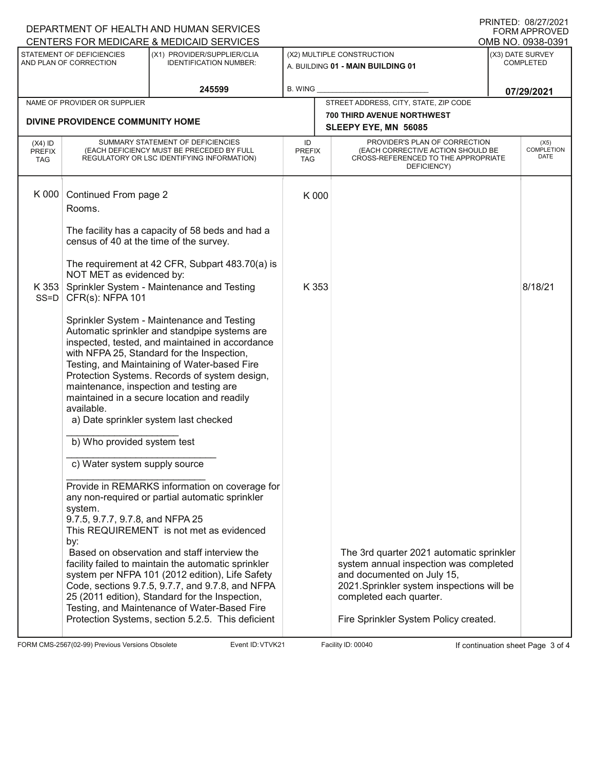|                                                                                                                     |                                                              | DEPARTMENT OF HEALTH AND HUMAN SERVICES<br>CENTERS FOR MEDICARE & MEDICAID SERVICES                                                                                                                                                                                                                                                                                                                                                                                                                                 |                                                                 |                                                                                                                                                                                                                                   |  | PRINTED: 08/27/2021<br><b>FORM APPROVED</b><br>OMB NO. 0938-0391 |
|---------------------------------------------------------------------------------------------------------------------|--------------------------------------------------------------|---------------------------------------------------------------------------------------------------------------------------------------------------------------------------------------------------------------------------------------------------------------------------------------------------------------------------------------------------------------------------------------------------------------------------------------------------------------------------------------------------------------------|-----------------------------------------------------------------|-----------------------------------------------------------------------------------------------------------------------------------------------------------------------------------------------------------------------------------|--|------------------------------------------------------------------|
| STATEMENT OF DEFICIENCIES<br>(X1) PROVIDER/SUPPLIER/CLIA<br>AND PLAN OF CORRECTION<br><b>IDENTIFICATION NUMBER:</b> |                                                              |                                                                                                                                                                                                                                                                                                                                                                                                                                                                                                                     | (X2) MULTIPLE CONSTRUCTION<br>A. BUILDING 01 - MAIN BUILDING 01 | (X3) DATE SURVEY<br><b>COMPLETED</b>                                                                                                                                                                                              |  |                                                                  |
|                                                                                                                     |                                                              | 245599                                                                                                                                                                                                                                                                                                                                                                                                                                                                                                              | <b>B. WING</b>                                                  |                                                                                                                                                                                                                                   |  | 07/29/2021                                                       |
| NAME OF PROVIDER OR SUPPLIER                                                                                        |                                                              |                                                                                                                                                                                                                                                                                                                                                                                                                                                                                                                     |                                                                 | STREET ADDRESS, CITY, STATE, ZIP CODE                                                                                                                                                                                             |  |                                                                  |
|                                                                                                                     | DIVINE PROVIDENCE COMMUNITY HOME                             |                                                                                                                                                                                                                                                                                                                                                                                                                                                                                                                     |                                                                 | <b>700 THIRD AVENUE NORTHWEST</b><br>SLEEPY EYE, MN 56085                                                                                                                                                                         |  |                                                                  |
| $(X4)$ ID<br><b>PREFIX</b><br><b>TAG</b>                                                                            |                                                              | SUMMARY STATEMENT OF DEFICIENCIES<br>(EACH DEFICIENCY MUST BE PRECEDED BY FULL<br>REGULATORY OR LSC IDENTIFYING INFORMATION)                                                                                                                                                                                                                                                                                                                                                                                        | ID<br><b>PREFIX</b><br>TAG                                      | PROVIDER'S PLAN OF CORRECTION<br>(EACH CORRECTIVE ACTION SHOULD BE<br>CROSS-REFERENCED TO THE APPROPRIATE<br>DEFICIENCY)                                                                                                          |  | (X5)<br><b>COMPLETION</b><br>DATE                                |
| K 000                                                                                                               | Continued From page 2<br>Rooms.                              |                                                                                                                                                                                                                                                                                                                                                                                                                                                                                                                     | K 000                                                           |                                                                                                                                                                                                                                   |  |                                                                  |
|                                                                                                                     | census of 40 at the time of the survey.                      | The facility has a capacity of 58 beds and had a                                                                                                                                                                                                                                                                                                                                                                                                                                                                    |                                                                 |                                                                                                                                                                                                                                   |  |                                                                  |
| K353<br>$SS = D$                                                                                                    | NOT MET as evidenced by:<br>CFR(s): NFPA 101                 | The requirement at 42 CFR, Subpart 483.70(a) is<br>Sprinkler System - Maintenance and Testing                                                                                                                                                                                                                                                                                                                                                                                                                       | K 353                                                           |                                                                                                                                                                                                                                   |  | 8/18/21                                                          |
|                                                                                                                     | available.                                                   | Sprinkler System - Maintenance and Testing<br>Automatic sprinkler and standpipe systems are<br>inspected, tested, and maintained in accordance<br>with NFPA 25, Standard for the Inspection,<br>Testing, and Maintaining of Water-based Fire<br>Protection Systems. Records of system design,<br>maintenance, inspection and testing are<br>maintained in a secure location and readily<br>a) Date sprinkler system last checked                                                                                    |                                                                 |                                                                                                                                                                                                                                   |  |                                                                  |
|                                                                                                                     | b) Who provided system test<br>c) Water system supply source |                                                                                                                                                                                                                                                                                                                                                                                                                                                                                                                     |                                                                 |                                                                                                                                                                                                                                   |  |                                                                  |
|                                                                                                                     | system.<br>9.7.5, 9.7.7, 9.7.8, and NFPA 25<br>by:           | Provide in REMARKS information on coverage for<br>any non-required or partial automatic sprinkler<br>This REQUIREMENT is not met as evidenced<br>Based on observation and staff interview the<br>facility failed to maintain the automatic sprinkler<br>system per NFPA 101 (2012 edition), Life Safety<br>Code, sections 9.7.5, 9.7.7, and 9.7.8, and NFPA<br>25 (2011 edition), Standard for the Inspection,<br>Testing, and Maintenance of Water-Based Fire<br>Protection Systems, section 5.2.5. This deficient |                                                                 | The 3rd quarter 2021 automatic sprinkler<br>system annual inspection was completed<br>and documented on July 15,<br>2021.Sprinkler system inspections will be<br>completed each quarter.<br>Fire Sprinkler System Policy created. |  |                                                                  |

FORM CMS-2567(02-99) Previous Versions Obsolete Variation School Event ID: VTVK21 Facility ID: 00040 If continuation sheet Page 3 of 4